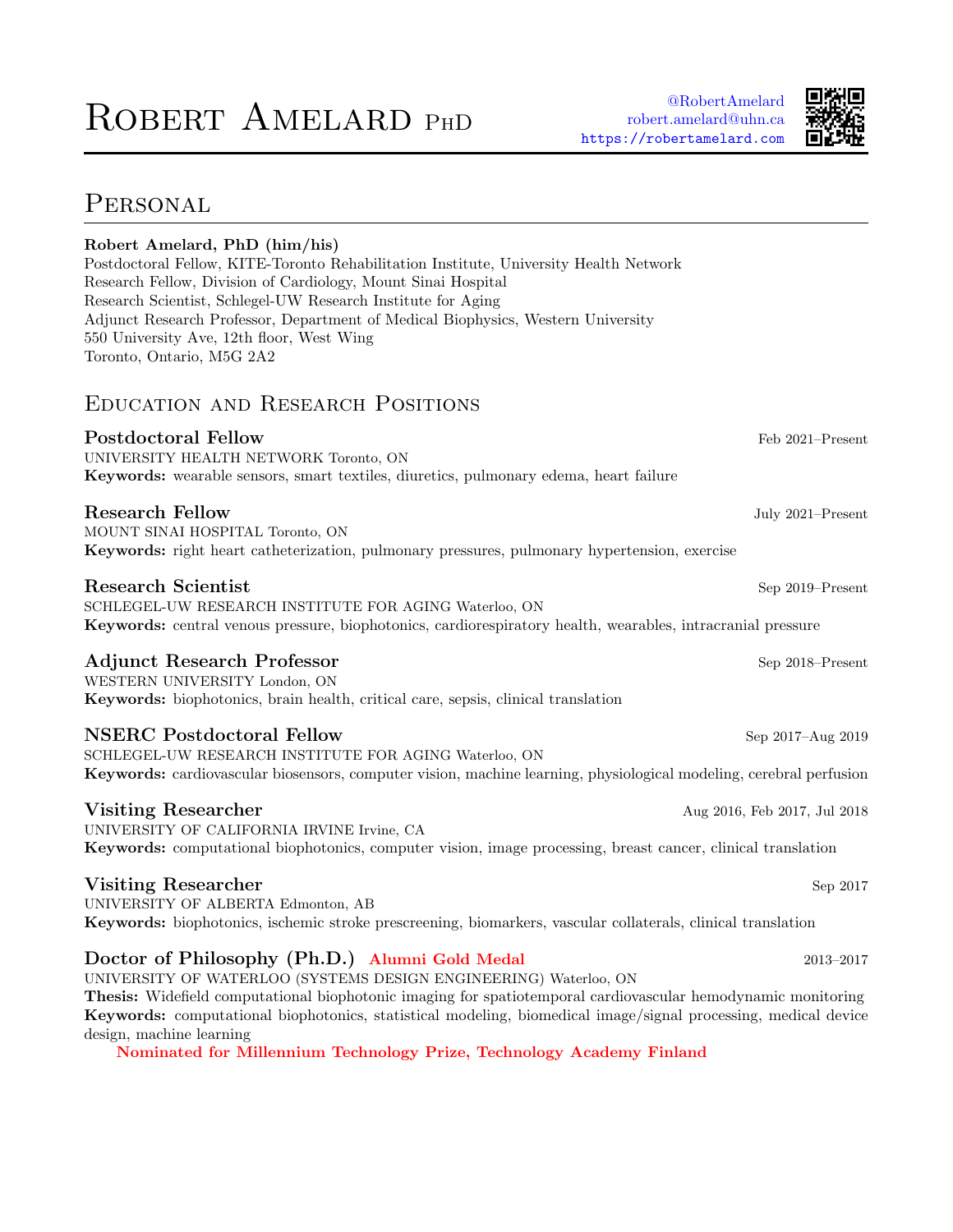# ROBERT AMELARD PHD



# PERSONAL

| Robert Amelard, PhD (him/his)<br>Postdoctoral Fellow, KITE-Toronto Rehabilitation Institute, University Health Network<br>Research Fellow, Division of Cardiology, Mount Sinai Hospital<br>Research Scientist, Schlegel-UW Research Institute for Aging<br>Adjunct Research Professor, Department of Medical Biophysics, Western University<br>550 University Ave, 12th floor, West Wing<br>Toronto, Ontario, M5G 2A2                                            |                              |
|------------------------------------------------------------------------------------------------------------------------------------------------------------------------------------------------------------------------------------------------------------------------------------------------------------------------------------------------------------------------------------------------------------------------------------------------------------------|------------------------------|
| EDUCATION AND RESEARCH POSITIONS                                                                                                                                                                                                                                                                                                                                                                                                                                 |                              |
| <b>Postdoctoral Fellow</b><br>UNIVERSITY HEALTH NETWORK Toronto, ON<br>Keywords: wearable sensors, smart textiles, diuretics, pulmonary edema, heart failure                                                                                                                                                                                                                                                                                                     | Feb 2021-Present             |
| <b>Research Fellow</b><br>MOUNT SINAI HOSPITAL Toronto, ON<br>Keywords: right heart catheterization, pulmonary pressures, pulmonary hypertension, exercise                                                                                                                                                                                                                                                                                                       | July 2021-Present            |
| <b>Research Scientist</b><br>SCHLEGEL-UW RESEARCH INSTITUTE FOR AGING Waterloo, ON<br>Keywords: central venous pressure, biophotonics, cardiorespiratory health, wearables, intracranial pressure                                                                                                                                                                                                                                                                | Sep 2019-Present             |
| <b>Adjunct Research Professor</b><br>WESTERN UNIVERSITY London, ON<br>Keywords: biophotonics, brain health, critical care, sepsis, clinical translation                                                                                                                                                                                                                                                                                                          | Sep 2018-Present             |
| <b>NSERC</b> Postdoctoral Fellow<br>SCHLEGEL-UW RESEARCH INSTITUTE FOR AGING Waterloo, ON<br>Keywords: cardiovascular biosensors, computer vision, machine learning, physiological modeling, cerebral perfusion                                                                                                                                                                                                                                                  | Sep 2017-Aug 2019            |
| <b>Visiting Researcher</b><br>UNIVERSITY OF CALIFORNIA IRVINE Irvine, CA<br><b>Keywords:</b> computational biophotonics, computer vision, image processing, breast cancer, clinical translation                                                                                                                                                                                                                                                                  | Aug 2016, Feb 2017, Jul 2018 |
| <b>Visiting Researcher</b><br>UNIVERSITY OF ALBERTA Edmonton, AB<br>Keywords: biophotonics, ischemic stroke prescreening, biomarkers, vascular collaterals, clinical translation                                                                                                                                                                                                                                                                                 | Sep 2017                     |
| Doctor of Philosophy (Ph.D.) Alumni Gold Medal<br>UNIVERSITY OF WATERLOO (SYSTEMS DESIGN ENGINEERING) Waterloo, ON<br><b>Thesis:</b> Widefield computational biophotonic imaging for spatiotemporal cardiovascular hemodynamic monitoring<br>Keywords: computational biophotonics, statistical modeling, biomedical image/signal processing, medical device<br>design, machine learning<br>Nominated for Millennium Technology Prize, Technology Academy Finland | $2013 - 2017$                |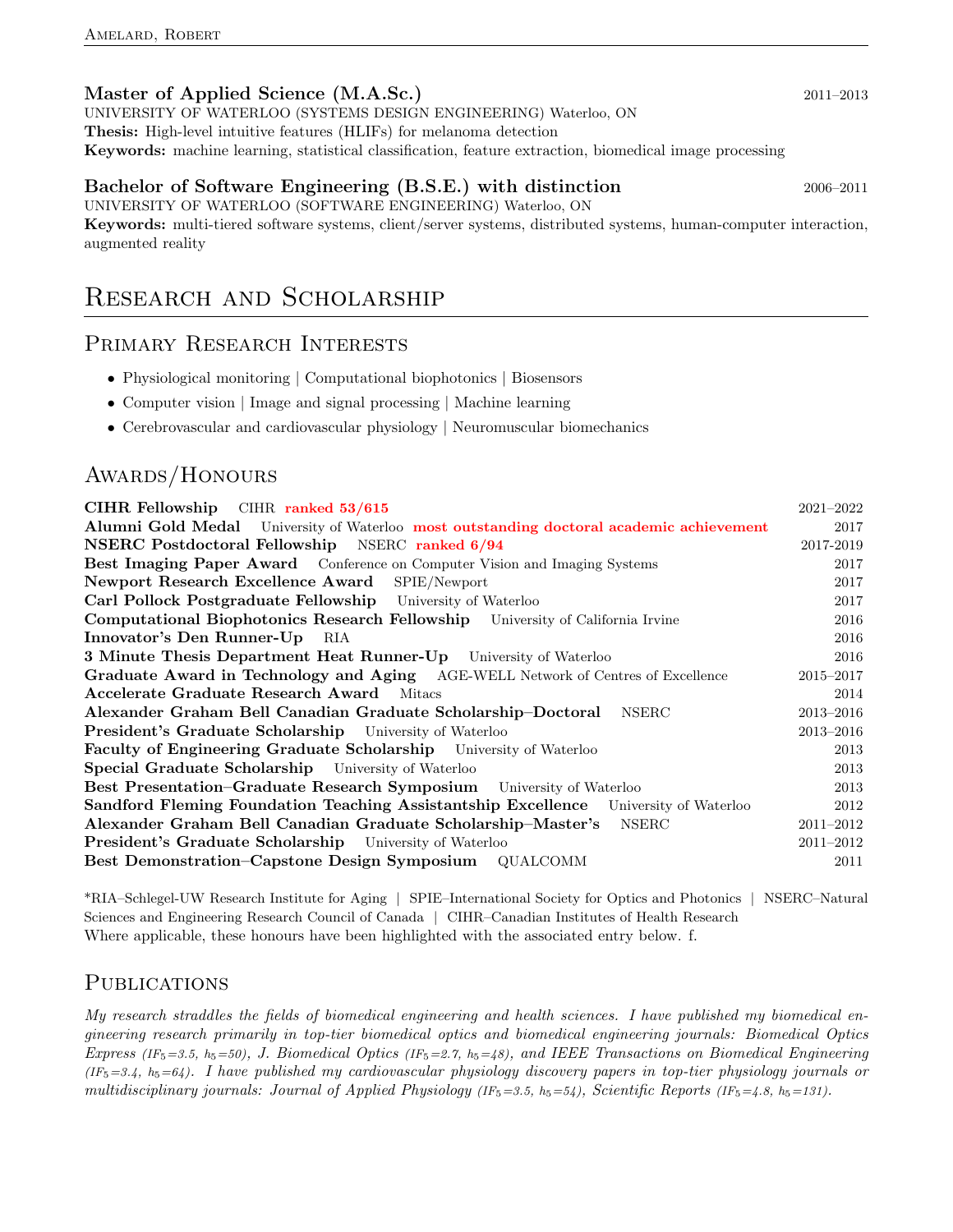### Master of Applied Science (M.A.Sc.) 2011–2013

UNIVERSITY OF WATERLOO (SYSTEMS DESIGN ENGINEERING) Waterloo, ON Thesis: High-level intuitive features (HLIFs) for melanoma detection Keywords: machine learning, statistical classification, feature extraction, biomedical image processing

### Bachelor of Software Engineering (B.S.E.) with distinction 2006–2011

UNIVERSITY OF WATERLOO (SOFTWARE ENGINEERING) Waterloo, ON

Keywords: multi-tiered software systems, client/server systems, distributed systems, human-computer interaction, augmented reality

## Research and Scholarship

### Primary Research Interests

- Physiological monitoring | Computational biophotonics | Biosensors
- Computer vision | Image and signal processing | Machine learning
- Cerebrovascular and cardiovascular physiology | Neuromuscular biomechanics

### Awards/Honours

| CIHR Fellowship CIHR ranked 53/615                                                          | 2021-2022     |
|---------------------------------------------------------------------------------------------|---------------|
| Alumni Gold Medal University of Waterloo most outstanding doctoral academic achievement     | 2017          |
| <b>NSERC Postdoctoral Fellowship</b> NSERC ranked 6/94                                      | 2017-2019     |
| Best Imaging Paper Award Conference on Computer Vision and Imaging Systems                  | 2017          |
| <b>Newport Research Excellence Award</b> SPIE/Newport                                       | 2017          |
| Carl Pollock Postgraduate Fellowship University of Waterloo                                 | 2017          |
| <b>Computational Biophotonics Research Fellowship</b> University of California Irvine       | 2016          |
| Innovator's Den Runner-Up RIA                                                               | 2016          |
| <b>3 Minute Thesis Department Heat Runner-Up</b> University of Waterloo                     | 2016          |
| Graduate Award in Technology and Aging AGE-WELL Network of Centres of Excellence            | 2015-2017     |
| <b>Accelerate Graduate Research Award</b> Mitacs                                            | 2014          |
| Alexander Graham Bell Canadian Graduate Scholarship-Doctoral NSERC                          | 2013-2016     |
| <b>President's Graduate Scholarship</b> University of Waterloo                              | 2013-2016     |
| <b>Faculty of Engineering Graduate Scholarship</b> University of Waterloo                   | 2013          |
| <b>Special Graduate Scholarship</b> University of Waterloo                                  | 2013          |
| Best Presentation-Graduate Research Symposium University of Waterloo                        | 2013          |
| <b>Sandford Fleming Foundation Teaching Assistantship Excellence</b> University of Waterloo | 2012          |
| Alexander Graham Bell Canadian Graduate Scholarship-Master's NSERC                          | $2011 - 2012$ |
| <b>President's Graduate Scholarship</b> University of Waterloo                              | 2011-2012     |
| Best Demonstration–Capstone Design Symposium QUALCOMM                                       | 2011          |

\*RIA–Schlegel-UW Research Institute for Aging | SPIE–International Society for Optics and Photonics | NSERC–Natural Sciences and Engineering Research Council of Canada | CIHR–Canadian Institutes of Health Research Where applicable, these honours have been highlighted with the associated entry below. f.

### **PUBLICATIONS**

My research straddles the fields of biomedical engineering and health sciences. I have published my biomedical engineering research primarily in top-tier biomedical optics and biomedical engineering journals: Biomedical Optics Express (IF<sub>5</sub>=3.5, h<sub>5</sub>=50), J. Biomedical Optics (IF<sub>5</sub>=2.7, h<sub>5</sub>=48), and IEEE Transactions on Biomedical Engineering  $(IF_5=3.4, h_5=64)$ . I have published my cardiovascular physiology discovery papers in top-tier physiology journals or multidisciplinary journals: Journal of Applied Physiology (IF<sub>5</sub>=3.5, h<sub>5</sub>=54), Scientific Reports (IF<sub>5</sub>=4.8, h<sub>5</sub>=131).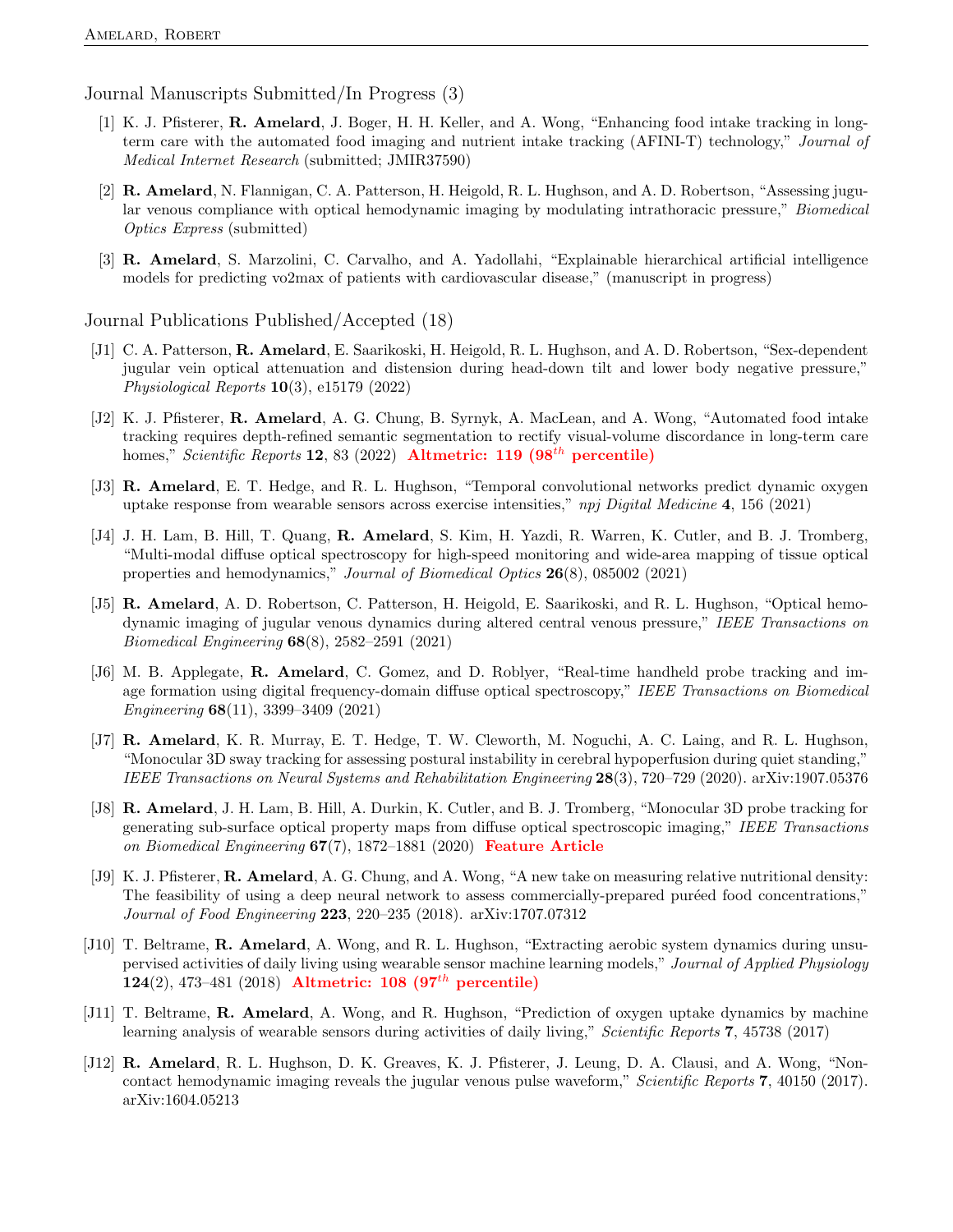Journal Manuscripts Submitted/In Progress (3)

- [1] K. J. Pfisterer, R. Amelard, J. Boger, H. H. Keller, and A. Wong, "Enhancing food intake tracking in longterm care with the automated food imaging and nutrient intake tracking (AFINI-T) technology," Journal of Medical Internet Research (submitted; JMIR37590)
- [2] R. Amelard, N. Flannigan, C. A. Patterson, H. Heigold, R. L. Hughson, and A. D. Robertson, "Assessing jugular venous compliance with optical hemodynamic imaging by modulating intrathoracic pressure," Biomedical Optics Express (submitted)
- [3] R. Amelard, S. Marzolini, C. Carvalho, and A. Yadollahi, "Explainable hierarchical artificial intelligence models for predicting vo2max of patients with cardiovascular disease," (manuscript in progress)

Journal Publications Published/Accepted (18)

- [J1] C. A. Patterson, R. Amelard, E. Saarikoski, H. Heigold, R. L. Hughson, and A. D. Robertson, "Sex-dependent jugular vein optical attenuation and distension during head-down tilt and lower body negative pressure," Physiological Reports 10(3), e15179 (2022)
- [J2] K. J. Pfisterer, R. Amelard, A. G. Chung, B. Syrnyk, A. MacLean, and A. Wong, "Automated food intake tracking requires depth-refined semantic segmentation to rectify visual-volume discordance in long-term care homes," Scientific Reports 12, 83 (2022) Altmetric: 119 (98<sup>th</sup> percentile)
- [J3] R. Amelard, E. T. Hedge, and R. L. Hughson, "Temporal convolutional networks predict dynamic oxygen uptake response from wearable sensors across exercise intensities," npj Digital Medicine  $4, 156$  (2021)
- [J4] J. H. Lam, B. Hill, T. Quang, **R. Amelard**, S. Kim, H. Yazdi, R. Warren, K. Cutler, and B. J. Tromberg, "Multi-modal diffuse optical spectroscopy for high-speed monitoring and wide-area mapping of tissue optical properties and hemodynamics," Journal of Biomedical Optics 26(8), 085002 (2021)
- [J5] R. Amelard, A. D. Robertson, C. Patterson, H. Heigold, E. Saarikoski, and R. L. Hughson, "Optical hemodynamic imaging of jugular venous dynamics during altered central venous pressure," IEEE Transactions on Biomedical Engineering 68(8), 2582–2591 (2021)
- [J6] M. B. Applegate, R. Amelard, C. Gomez, and D. Roblyer, "Real-time handheld probe tracking and image formation using digital frequency-domain diffuse optical spectroscopy," IEEE Transactions on Biomedical Engineering 68(11), 3399–3409 (2021)
- [J7] R. Amelard, K. R. Murray, E. T. Hedge, T. W. Cleworth, M. Noguchi, A. C. Laing, and R. L. Hughson, "Monocular 3D sway tracking for assessing postural instability in cerebral hypoperfusion during quiet standing," IEEE Transactions on Neural Systems and Rehabilitation Engineering 28(3), 720–729 (2020). arXiv:1907.05376
- [J8] R. Amelard, J. H. Lam, B. Hill, A. Durkin, K. Cutler, and B. J. Tromberg, "Monocular 3D probe tracking for generating sub-surface optical property maps from diffuse optical spectroscopic imaging," IEEE Transactions on Biomedical Engineering 67(7), 1872–1881 (2020) Feature Article
- [J9] K. J. Pfisterer, **R. Amelard**, A. G. Chung, and A. Wong, "A new take on measuring relative nutritional density: The feasibility of using a deep neural network to assess commercially-prepared puréed food concentrations," Journal of Food Engineering 223, 220–235 (2018). arXiv:1707.07312
- [J10] T. Beltrame, R. Amelard, A. Wong, and R. L. Hughson, "Extracting aerobic system dynamics during unsupervised activities of daily living using wearable sensor machine learning models," Journal of Applied Physiology 124(2), 473–481 (2018) Altmetric: 108 (97<sup>th</sup> percentile)
- [J11] T. Beltrame, R. Amelard, A. Wong, and R. Hughson, "Prediction of oxygen uptake dynamics by machine learning analysis of wearable sensors during activities of daily living," Scientific Reports 7, 45738 (2017)
- [J12] R. Amelard, R. L. Hughson, D. K. Greaves, K. J. Pfisterer, J. Leung, D. A. Clausi, and A. Wong, "Noncontact hemodynamic imaging reveals the jugular venous pulse waveform," Scientific Reports 7, 40150 (2017). arXiv:1604.05213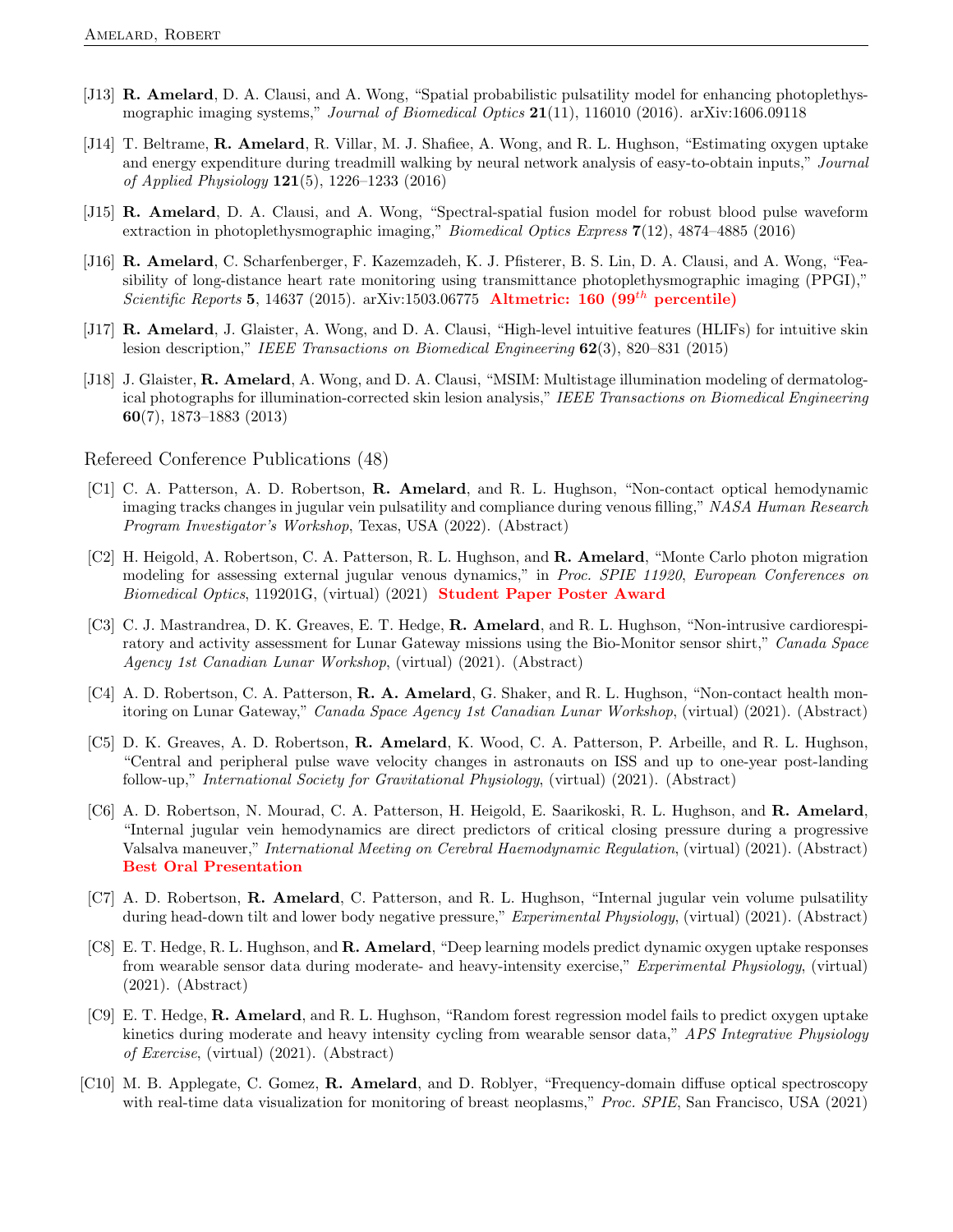- [J13] R. Amelard, D. A. Clausi, and A. Wong, "Spatial probabilistic pulsatility model for enhancing photoplethysmographic imaging systems," Journal of Biomedical Optics  $21(11)$ , 116010 (2016). arXiv:1606.09118
- [J14] T. Beltrame, R. Amelard, R. Villar, M. J. Shafiee, A. Wong, and R. L. Hughson, "Estimating oxygen uptake and energy expenditure during treadmill walking by neural network analysis of easy-to-obtain inputs," Journal of Applied Physiology 121(5), 1226–1233 (2016)
- [J15] R. Amelard, D. A. Clausi, and A. Wong, "Spectral-spatial fusion model for robust blood pulse waveform extraction in photoplethysmographic imaging," Biomedical Optics Express 7(12), 4874–4885 (2016)
- [J16] R. Amelard, C. Scharfenberger, F. Kazemzadeh, K. J. Pfisterer, B. S. Lin, D. A. Clausi, and A. Wong, "Feasibility of long-distance heart rate monitoring using transmittance photoplethysmographic imaging (PPGI)," Scientific Reports 5, 14637 (2015). arXiv:1503.06775 Altmetric: 160 (99<sup>th</sup> percentile)
- [J17] R. Amelard, J. Glaister, A. Wong, and D. A. Clausi, "High-level intuitive features (HLIFs) for intuitive skin lesion description," IEEE Transactions on Biomedical Engineering 62(3), 820–831 (2015)
- [J18] J. Glaister, R. Amelard, A. Wong, and D. A. Clausi, "MSIM: Multistage illumination modeling of dermatological photographs for illumination-corrected skin lesion analysis," IEEE Transactions on Biomedical Engineering 60(7), 1873–1883 (2013)

Refereed Conference Publications (48)

- [C1] C. A. Patterson, A. D. Robertson, R. Amelard, and R. L. Hughson, "Non-contact optical hemodynamic imaging tracks changes in jugular vein pulsatility and compliance during venous filling," NASA Human Research Program Investigator's Workshop, Texas, USA (2022). (Abstract)
- [C2] H. Heigold, A. Robertson, C. A. Patterson, R. L. Hughson, and R. Amelard, "Monte Carlo photon migration modeling for assessing external jugular venous dynamics," in Proc. SPIE 11920, European Conferences on Biomedical Optics, 119201G, (virtual) (2021) **Student Paper Poster Award**
- [C3] C. J. Mastrandrea, D. K. Greaves, E. T. Hedge, **R. Amelard**, and R. L. Hughson, "Non-intrusive cardiorespiratory and activity assessment for Lunar Gateway missions using the Bio-Monitor sensor shirt," Canada Space Agency 1st Canadian Lunar Workshop, (virtual) (2021). (Abstract)
- [C4] A. D. Robertson, C. A. Patterson, R. A. Amelard, G. Shaker, and R. L. Hughson, "Non-contact health monitoring on Lunar Gateway," Canada Space Agency 1st Canadian Lunar Workshop, (virtual) (2021). (Abstract)
- [C5] D. K. Greaves, A. D. Robertson, R. Amelard, K. Wood, C. A. Patterson, P. Arbeille, and R. L. Hughson, "Central and peripheral pulse wave velocity changes in astronauts on ISS and up to one-year post-landing follow-up," International Society for Gravitational Physiology, (virtual) (2021). (Abstract)
- [C6] A. D. Robertson, N. Mourad, C. A. Patterson, H. Heigold, E. Saarikoski, R. L. Hughson, and R. Amelard, "Internal jugular vein hemodynamics are direct predictors of critical closing pressure during a progressive Valsalva maneuver," International Meeting on Cerebral Haemodynamic Regulation, (virtual) (2021). (Abstract) Best Oral Presentation
- [C7] A. D. Robertson, R. Amelard, C. Patterson, and R. L. Hughson, "Internal jugular vein volume pulsatility during head-down tilt and lower body negative pressure," Experimental Physiology, (virtual) (2021). (Abstract)
- [C8] E. T. Hedge, R. L. Hughson, and R. Amelard, "Deep learning models predict dynamic oxygen uptake responses from wearable sensor data during moderate- and heavy-intensity exercise," Experimental Physiology, (virtual) (2021). (Abstract)
- [C9] E. T. Hedge, R. Amelard, and R. L. Hughson, "Random forest regression model fails to predict oxygen uptake kinetics during moderate and heavy intensity cycling from wearable sensor data," APS Integrative Physiology of Exercise, (virtual) (2021). (Abstract)
- [C10] M. B. Applegate, C. Gomez, **R. Amelard**, and D. Roblyer, "Frequency-domain diffuse optical spectroscopy with real-time data visualization for monitoring of breast neoplasms," Proc. SPIE, San Francisco, USA (2021)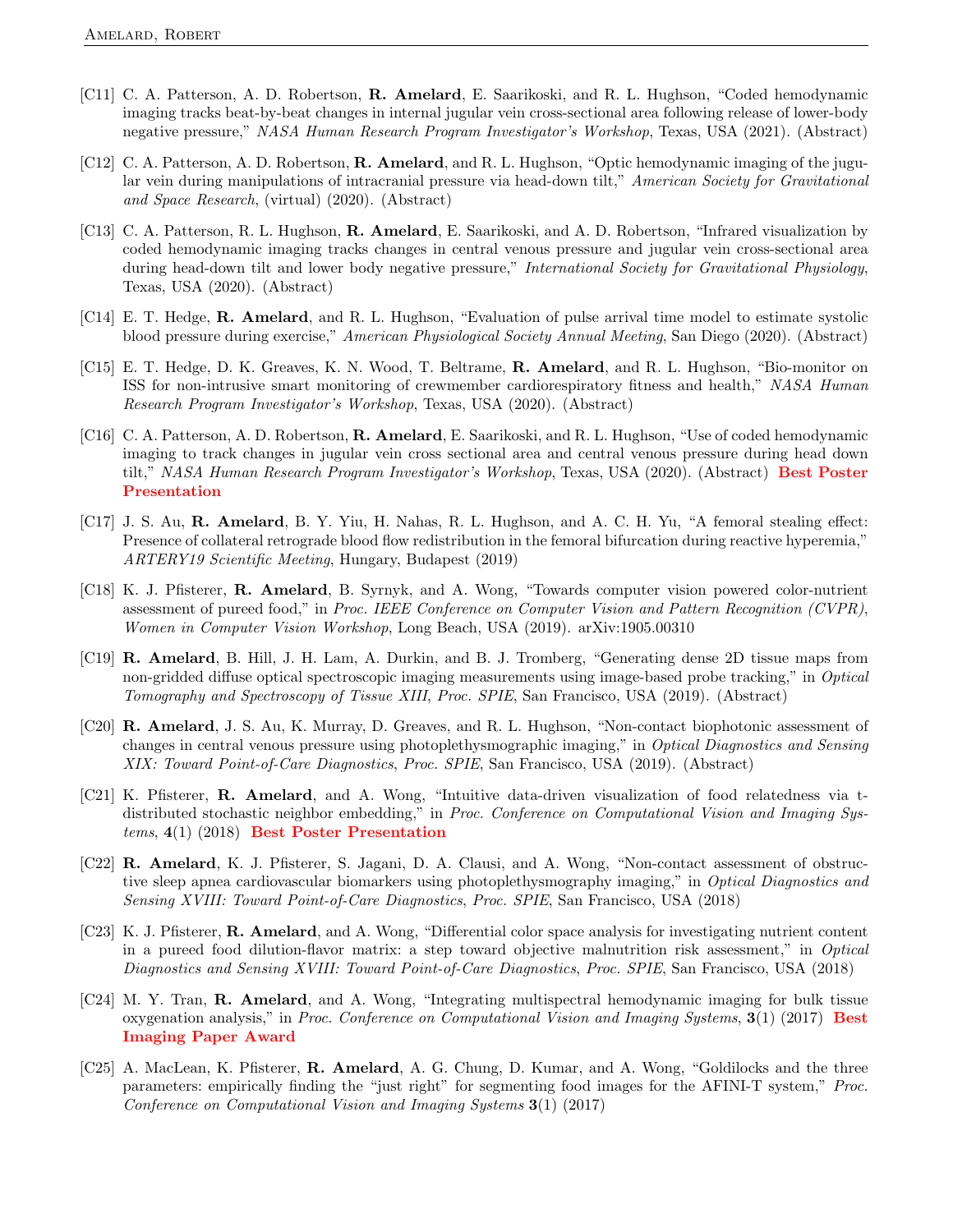- [C11] C. A. Patterson, A. D. Robertson, **R. Amelard**, E. Saarikoski, and R. L. Hughson, "Coded hemodynamic imaging tracks beat-by-beat changes in internal jugular vein cross-sectional area following release of lower-body negative pressure," NASA Human Research Program Investigator's Workshop, Texas, USA (2021). (Abstract)
- [C12] C. A. Patterson, A. D. Robertson, **R. Amelard**, and R. L. Hughson, "Optic hemodynamic imaging of the jugular vein during manipulations of intracranial pressure via head-down tilt," American Society for Gravitational and Space Research, (virtual) (2020). (Abstract)
- [C13] C. A. Patterson, R. L. Hughson, R. Amelard, E. Saarikoski, and A. D. Robertson, "Infrared visualization by coded hemodynamic imaging tracks changes in central venous pressure and jugular vein cross-sectional area during head-down tilt and lower body negative pressure," International Society for Gravitational Physiology, Texas, USA (2020). (Abstract)
- [C14] E. T. Hedge, R. Amelard, and R. L. Hughson, "Evaluation of pulse arrival time model to estimate systolic blood pressure during exercise," American Physiological Society Annual Meeting, San Diego (2020). (Abstract)
- [C15] E. T. Hedge, D. K. Greaves, K. N. Wood, T. Beltrame, R. Amelard, and R. L. Hughson, "Bio-monitor on ISS for non-intrusive smart monitoring of crewmember cardiorespiratory fitness and health," NASA Human Research Program Investigator's Workshop, Texas, USA (2020). (Abstract)
- [C16] C. A. Patterson, A. D. Robertson, R. Amelard, E. Saarikoski, and R. L. Hughson, "Use of coded hemodynamic imaging to track changes in jugular vein cross sectional area and central venous pressure during head down tilt," NASA Human Research Program Investigator's Workshop, Texas, USA (2020). (Abstract) Best Poster Presentation
- [C17] J. S. Au, R. Amelard, B. Y. Yiu, H. Nahas, R. L. Hughson, and A. C. H. Yu, "A femoral stealing effect: Presence of collateral retrograde blood flow redistribution in the femoral bifurcation during reactive hyperemia," ARTERY19 Scientific Meeting, Hungary, Budapest (2019)
- [C18] K. J. Pfisterer, R. Amelard, B. Syrnyk, and A. Wong, "Towards computer vision powered color-nutrient assessment of pureed food," in Proc. IEEE Conference on Computer Vision and Pattern Recognition (CVPR), Women in Computer Vision Workshop, Long Beach, USA (2019). arXiv:1905.00310
- [C19] R. Amelard, B. Hill, J. H. Lam, A. Durkin, and B. J. Tromberg, "Generating dense 2D tissue maps from non-gridded diffuse optical spectroscopic imaging measurements using image-based probe tracking," in *Optical* Tomography and Spectroscopy of Tissue XIII, Proc. SPIE, San Francisco, USA (2019). (Abstract)
- [C20] R. Amelard, J. S. Au, K. Murray, D. Greaves, and R. L. Hughson, "Non-contact biophotonic assessment of changes in central venous pressure using photoplethysmographic imaging," in Optical Diagnostics and Sensing XIX: Toward Point-of-Care Diagnostics, Proc. SPIE, San Francisco, USA (2019). (Abstract)
- [C21] K. Pfisterer, R. Amelard, and A. Wong, "Intuitive data-driven visualization of food relatedness via tdistributed stochastic neighbor embedding," in Proc. Conference on Computational Vision and Imaging Systems, 4(1) (2018) Best Poster Presentation
- [C22] R. Amelard, K. J. Pfisterer, S. Jagani, D. A. Clausi, and A. Wong, "Non-contact assessment of obstructive sleep apnea cardiovascular biomarkers using photoplethysmography imaging," in Optical Diagnostics and Sensing XVIII: Toward Point-of-Care Diagnostics, Proc. SPIE, San Francisco, USA (2018)
- [C23] K. J. Pfisterer, R. Amelard, and A. Wong, "Differential color space analysis for investigating nutrient content in a pureed food dilution-flavor matrix: a step toward objective malnutrition risk assessment," in Optical Diagnostics and Sensing XVIII: Toward Point-of-Care Diagnostics, Proc. SPIE, San Francisco, USA (2018)
- [C24] M. Y. Tran, R. Amelard, and A. Wong, "Integrating multispectral hemodynamic imaging for bulk tissue oxygenation analysis," in Proc. Conference on Computational Vision and Imaging Systems, 3(1) (2017) Best Imaging Paper Award
- [C25] A. MacLean, K. Pfisterer, **R. Amelard**, A. G. Chung, D. Kumar, and A. Wong, "Goldilocks and the three parameters: empirically finding the "just right" for segmenting food images for the AFINI-T system," Proc. Conference on Computational Vision and Imaging Systems 3(1) (2017)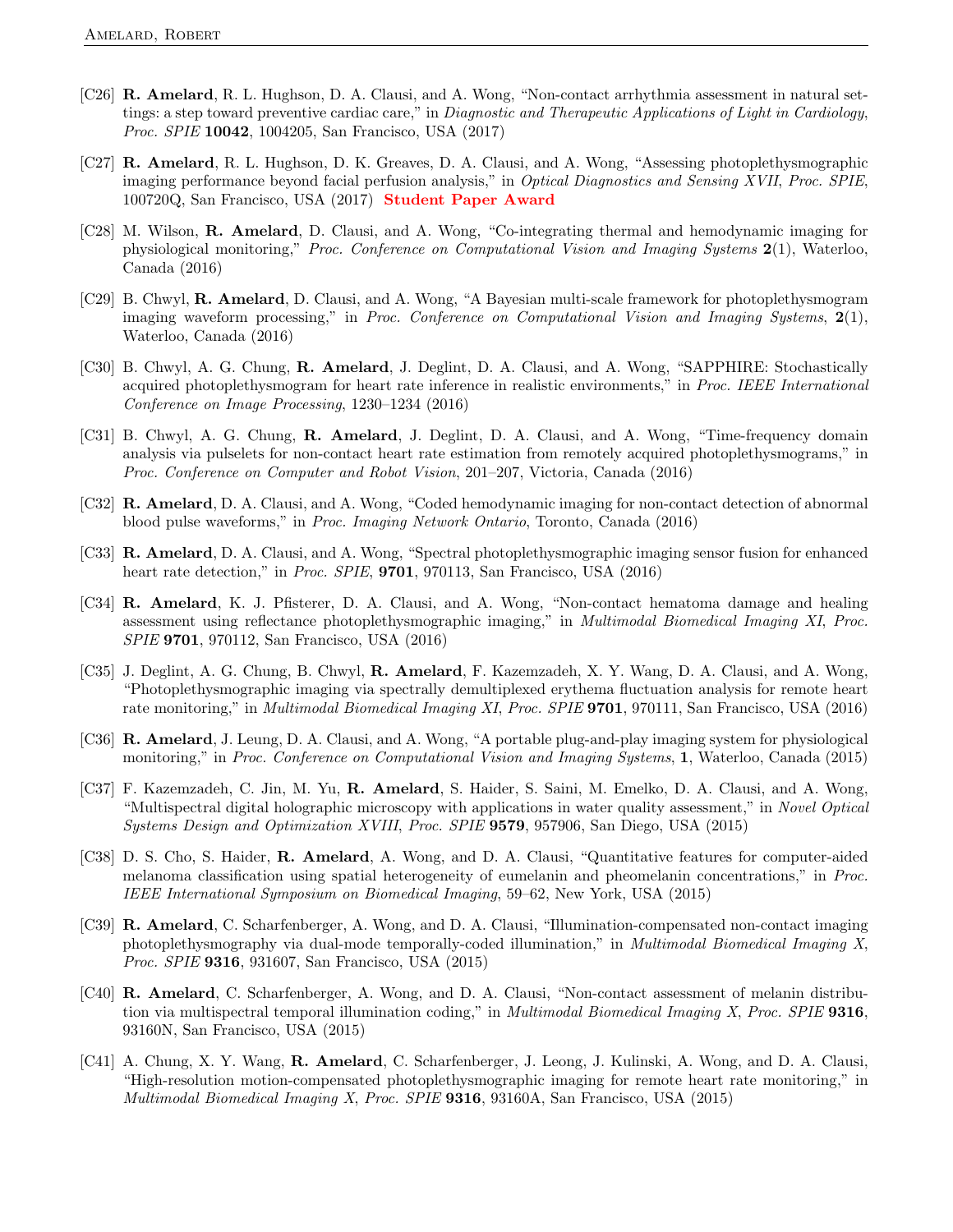- [C26] R. Amelard, R. L. Hughson, D. A. Clausi, and A. Wong, "Non-contact arrhythmia assessment in natural settings: a step toward preventive cardiac care," in Diagnostic and Therapeutic Applications of Light in Cardiology, Proc. SPIE 10042, 1004205, San Francisco, USA (2017)
- [C27] R. Amelard, R. L. Hughson, D. K. Greaves, D. A. Clausi, and A. Wong, "Assessing photoplethysmographic imaging performance beyond facial perfusion analysis," in Optical Diagnostics and Sensing XVII, Proc. SPIE, 100720Q, San Francisco, USA (2017) Student Paper Award
- [C28] M. Wilson, R. Amelard, D. Clausi, and A. Wong, "Co-integrating thermal and hemodynamic imaging for physiological monitoring," Proc. Conference on Computational Vision and Imaging Systems 2(1), Waterloo, Canada (2016)
- [C29] B. Chwyl, R. Amelard, D. Clausi, and A. Wong, "A Bayesian multi-scale framework for photoplethysmogram imaging waveform processing," in Proc. Conference on Computational Vision and Imaging Systems,  $2(1)$ , Waterloo, Canada (2016)
- [C30] B. Chwyl, A. G. Chung, R. Amelard, J. Deglint, D. A. Clausi, and A. Wong, "SAPPHIRE: Stochastically acquired photoplethysmogram for heart rate inference in realistic environments," in Proc. IEEE International Conference on Image Processing, 1230–1234 (2016)
- [C31] B. Chwyl, A. G. Chung, R. Amelard, J. Deglint, D. A. Clausi, and A. Wong, "Time-frequency domain analysis via pulselets for non-contact heart rate estimation from remotely acquired photoplethysmograms," in Proc. Conference on Computer and Robot Vision, 201–207, Victoria, Canada (2016)
- [C32] **R. Amelard**, D. A. Clausi, and A. Wong, "Coded hemodynamic imaging for non-contact detection of abnormal blood pulse waveforms," in Proc. Imaging Network Ontario, Toronto, Canada (2016)
- [C33] R. Amelard, D. A. Clausi, and A. Wong, "Spectral photoplethysmographic imaging sensor fusion for enhanced heart rate detection," in Proc. SPIE, 9701, 970113, San Francisco, USA (2016)
- [C34] R. Amelard, K. J. Pfisterer, D. A. Clausi, and A. Wong, "Non-contact hematoma damage and healing assessment using reflectance photoplethysmographic imaging," in Multimodal Biomedical Imaging XI, Proc. SPIE 9701, 970112, San Francisco, USA (2016)
- [C35] J. Deglint, A. G. Chung, B. Chwyl, **R. Amelard**, F. Kazemzadeh, X. Y. Wang, D. A. Clausi, and A. Wong, "Photoplethysmographic imaging via spectrally demultiplexed erythema fluctuation analysis for remote heart rate monitoring," in Multimodal Biomedical Imaging XI, Proc. SPIE 9701, 970111, San Francisco, USA (2016)
- [C36] R. Amelard, J. Leung, D. A. Clausi, and A. Wong, "A portable plug-and-play imaging system for physiological monitoring," in Proc. Conference on Computational Vision and Imaging Systems, 1, Waterloo, Canada (2015)
- [C37] F. Kazemzadeh, C. Jin, M. Yu, R. Amelard, S. Haider, S. Saini, M. Emelko, D. A. Clausi, and A. Wong, "Multispectral digital holographic microscopy with applications in water quality assessment," in Novel Optical Systems Design and Optimization XVIII, Proc. SPIE 9579, 957906, San Diego, USA (2015)
- [C38] D. S. Cho, S. Haider, R. Amelard, A. Wong, and D. A. Clausi, "Quantitative features for computer-aided melanoma classification using spatial heterogeneity of eumelanin and pheomelanin concentrations," in Proc. IEEE International Symposium on Biomedical Imaging, 59–62, New York, USA (2015)
- [C39] R. Amelard, C. Scharfenberger, A. Wong, and D. A. Clausi, "Illumination-compensated non-contact imaging photoplethysmography via dual-mode temporally-coded illumination," in Multimodal Biomedical Imaging X, Proc. SPIE 9316, 931607, San Francisco, USA (2015)
- [C40] R. Amelard, C. Scharfenberger, A. Wong, and D. A. Clausi, "Non-contact assessment of melanin distribution via multispectral temporal illumination coding," in *Multimodal Biomedical Imaging X, Proc. SPIE* 9316, 93160N, San Francisco, USA (2015)
- [C41] A. Chung, X. Y. Wang, **R. Amelard**, C. Scharfenberger, J. Leong, J. Kulinski, A. Wong, and D. A. Clausi, "High-resolution motion-compensated photoplethysmographic imaging for remote heart rate monitoring," in Multimodal Biomedical Imaging X, Proc.  $SPIE$  9316, 93160A, San Francisco, USA (2015)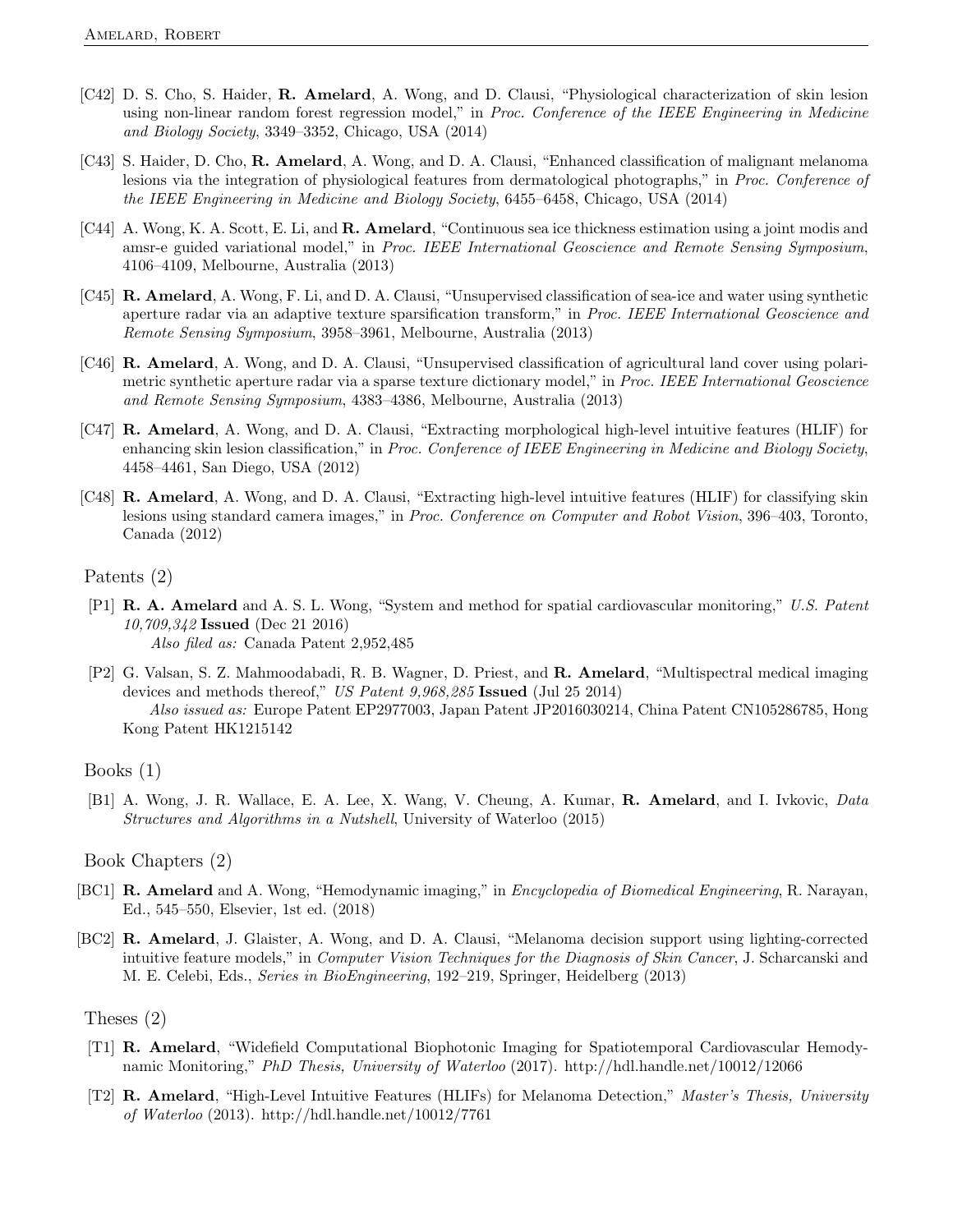- [C42] D. S. Cho, S. Haider, R. Amelard, A. Wong, and D. Clausi, "Physiological characterization of skin lesion using non-linear random forest regression model," in Proc. Conference of the IEEE Engineering in Medicine and Biology Society, 3349–3352, Chicago, USA (2014)
- [C43] S. Haider, D. Cho, R. Amelard, A. Wong, and D. A. Clausi, "Enhanced classification of malignant melanoma lesions via the integration of physiological features from dermatological photographs," in Proc. Conference of the IEEE Engineering in Medicine and Biology Society, 6455–6458, Chicago, USA (2014)
- [C44] A. Wong, K. A. Scott, E. Li, and **R. Amelard**, "Continuous sea ice thickness estimation using a joint modis and amsr-e guided variational model," in Proc. IEEE International Geoscience and Remote Sensing Symposium, 4106–4109, Melbourne, Australia (2013)
- [C45] R. Amelard, A. Wong, F. Li, and D. A. Clausi, "Unsupervised classification of sea-ice and water using synthetic aperture radar via an adaptive texture sparsification transform," in Proc. IEEE International Geoscience and Remote Sensing Symposium, 3958–3961, Melbourne, Australia (2013)
- [C46] R. Amelard, A. Wong, and D. A. Clausi, "Unsupervised classification of agricultural land cover using polarimetric synthetic aperture radar via a sparse texture dictionary model," in Proc. IEEE International Geoscience and Remote Sensing Symposium, 4383–4386, Melbourne, Australia (2013)
- [C47] R. Amelard, A. Wong, and D. A. Clausi, "Extracting morphological high-level intuitive features (HLIF) for enhancing skin lesion classification," in Proc. Conference of IEEE Engineering in Medicine and Biology Society, 4458–4461, San Diego, USA (2012)
- [C48] R. Amelard, A. Wong, and D. A. Clausi, "Extracting high-level intuitive features (HLIF) for classifying skin lesions using standard camera images," in Proc. Conference on Computer and Robot Vision, 396–403, Toronto, Canada (2012)

#### Patents (2)

- [P1] R. A. Amelard and A. S. L. Wong, "System and method for spatial cardiovascular monitoring," U.S. Patent 10,709,342 Issued (Dec 21 2016) Also filed as: Canada Patent 2,952,485
- [P2] G. Valsan, S. Z. Mahmoodabadi, R. B. Wagner, D. Priest, and R. Amelard, "Multispectral medical imaging devices and methods thereof," US Patent 9,968,285 Issued (Jul 25 2014) Also issued as: Europe Patent EP2977003, Japan Patent JP2016030214, China Patent CN105286785, Hong Kong Patent HK1215142

[B1] A. Wong, J. R. Wallace, E. A. Lee, X. Wang, V. Cheung, A. Kumar, R. Amelard, and I. Ivkovic, Data Structures and Algorithms in a Nutshell, University of Waterloo (2015)

#### Book Chapters (2)

- [BC1] R. Amelard and A. Wong, "Hemodynamic imaging," in *Encyclopedia of Biomedical Engineering*, R. Narayan, Ed., 545–550, Elsevier, 1st ed. (2018)
- [BC2] R. Amelard, J. Glaister, A. Wong, and D. A. Clausi, "Melanoma decision support using lighting-corrected intuitive feature models," in Computer Vision Techniques for the Diagnosis of Skin Cancer, J. Scharcanski and M. E. Celebi, Eds., Series in BioEngineering, 192–219, Springer, Heidelberg (2013)

#### Theses (2)

- [T1] R. Amelard, "Widefield Computational Biophotonic Imaging for Spatiotemporal Cardiovascular Hemodynamic Monitoring," PhD Thesis, University of Waterloo (2017). http://hdl.handle.net/10012/12066
- [T2] R. Amelard, "High-Level Intuitive Features (HLIFs) for Melanoma Detection," Master's Thesis, University of Waterloo (2013). http://hdl.handle.net/10012/7761

Books (1)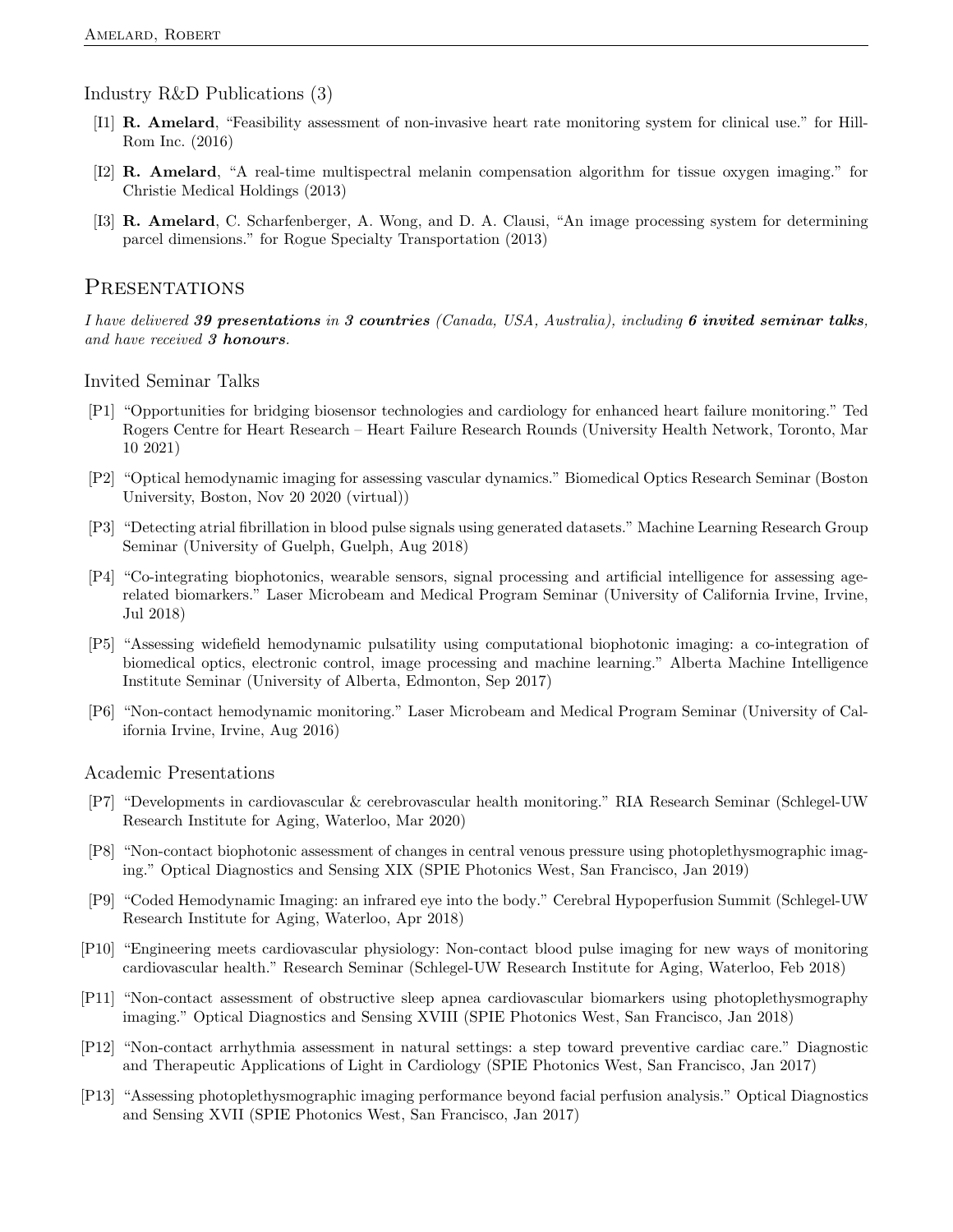#### Industry R&D Publications (3)

- [I1] R. Amelard, "Feasibility assessment of non-invasive heart rate monitoring system for clinical use." for Hill-Rom Inc. (2016)
- [I2] R. Amelard, "A real-time multispectral melanin compensation algorithm for tissue oxygen imaging." for Christie Medical Holdings (2013)
- [I3] R. Amelard, C. Scharfenberger, A. Wong, and D. A. Clausi, "An image processing system for determining parcel dimensions." for Rogue Specialty Transportation (2013)

#### **PRESENTATIONS**

I have delivered 39 presentations in 3 countries (Canada, USA, Australia), including 6 invited seminar talks, and have received 3 honours.

Invited Seminar Talks

- [P1] "Opportunities for bridging biosensor technologies and cardiology for enhanced heart failure monitoring." Ted Rogers Centre for Heart Research – Heart Failure Research Rounds (University Health Network, Toronto, Mar 10 2021)
- [P2] "Optical hemodynamic imaging for assessing vascular dynamics." Biomedical Optics Research Seminar (Boston University, Boston, Nov 20 2020 (virtual))
- [P3] "Detecting atrial fibrillation in blood pulse signals using generated datasets." Machine Learning Research Group Seminar (University of Guelph, Guelph, Aug 2018)
- [P4] "Co-integrating biophotonics, wearable sensors, signal processing and artificial intelligence for assessing agerelated biomarkers." Laser Microbeam and Medical Program Seminar (University of California Irvine, Irvine, Jul 2018)
- [P5] "Assessing widefield hemodynamic pulsatility using computational biophotonic imaging: a co-integration of biomedical optics, electronic control, image processing and machine learning." Alberta Machine Intelligence Institute Seminar (University of Alberta, Edmonton, Sep 2017)
- [P6] "Non-contact hemodynamic monitoring." Laser Microbeam and Medical Program Seminar (University of California Irvine, Irvine, Aug 2016)

Academic Presentations

- [P7] "Developments in cardiovascular & cerebrovascular health monitoring." RIA Research Seminar (Schlegel-UW Research Institute for Aging, Waterloo, Mar 2020)
- [P8] "Non-contact biophotonic assessment of changes in central venous pressure using photoplethysmographic imaging." Optical Diagnostics and Sensing XIX (SPIE Photonics West, San Francisco, Jan 2019)
- [P9] "Coded Hemodynamic Imaging: an infrared eye into the body." Cerebral Hypoperfusion Summit (Schlegel-UW Research Institute for Aging, Waterloo, Apr 2018)
- [P10] "Engineering meets cardiovascular physiology: Non-contact blood pulse imaging for new ways of monitoring cardiovascular health." Research Seminar (Schlegel-UW Research Institute for Aging, Waterloo, Feb 2018)
- [P11] "Non-contact assessment of obstructive sleep apnea cardiovascular biomarkers using photoplethysmography imaging." Optical Diagnostics and Sensing XVIII (SPIE Photonics West, San Francisco, Jan 2018)
- [P12] "Non-contact arrhythmia assessment in natural settings: a step toward preventive cardiac care." Diagnostic and Therapeutic Applications of Light in Cardiology (SPIE Photonics West, San Francisco, Jan 2017)
- [P13] "Assessing photoplethysmographic imaging performance beyond facial perfusion analysis." Optical Diagnostics and Sensing XVII (SPIE Photonics West, San Francisco, Jan 2017)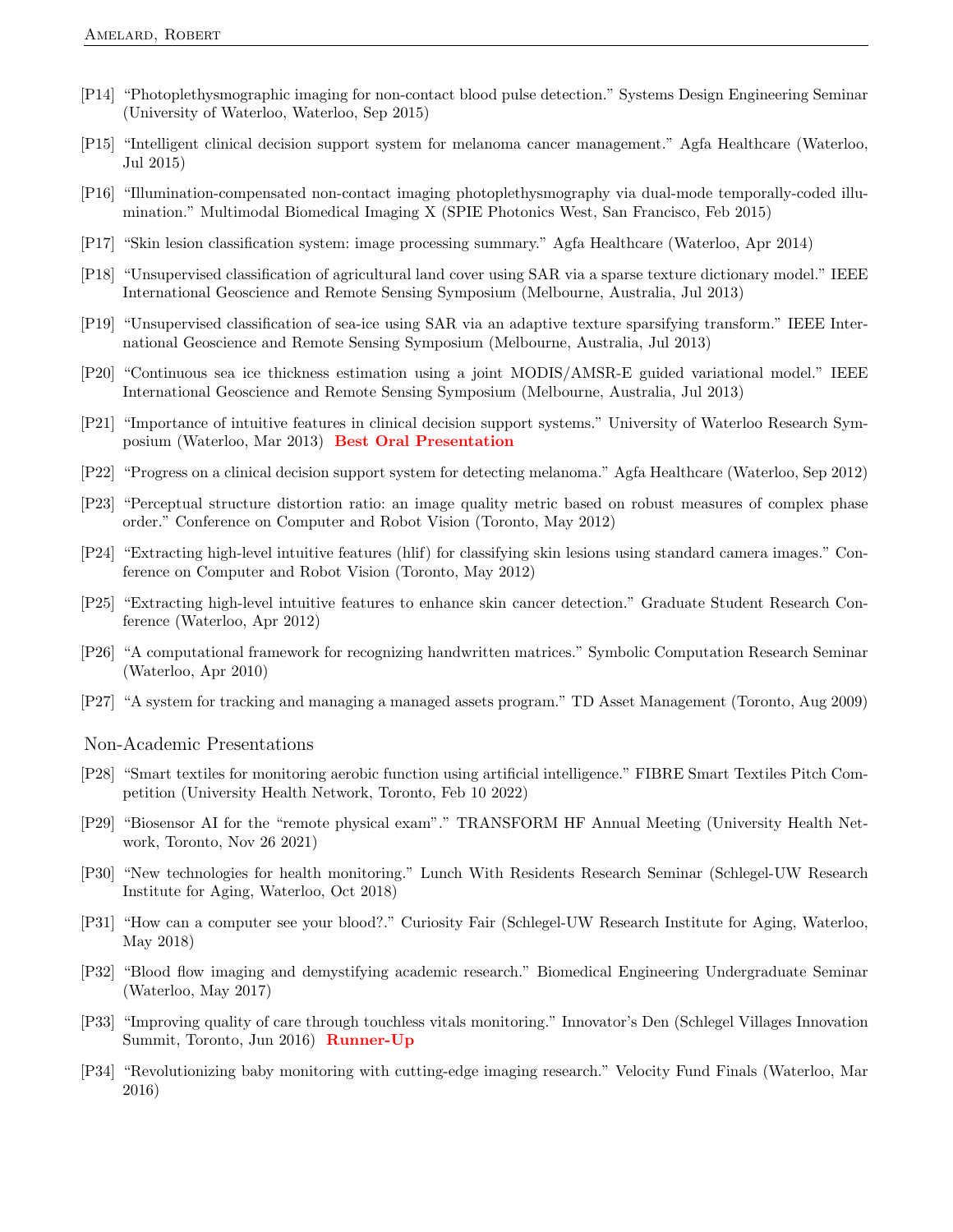- [P14] "Photoplethysmographic imaging for non-contact blood pulse detection." Systems Design Engineering Seminar (University of Waterloo, Waterloo, Sep 2015)
- [P15] "Intelligent clinical decision support system for melanoma cancer management." Agfa Healthcare (Waterloo, Jul 2015)
- [P16] "Illumination-compensated non-contact imaging photoplethysmography via dual-mode temporally-coded illumination." Multimodal Biomedical Imaging X (SPIE Photonics West, San Francisco, Feb 2015)
- [P17] "Skin lesion classification system: image processing summary." Agfa Healthcare (Waterloo, Apr 2014)
- [P18] "Unsupervised classification of agricultural land cover using SAR via a sparse texture dictionary model." IEEE International Geoscience and Remote Sensing Symposium (Melbourne, Australia, Jul 2013)
- [P19] "Unsupervised classification of sea-ice using SAR via an adaptive texture sparsifying transform." IEEE International Geoscience and Remote Sensing Symposium (Melbourne, Australia, Jul 2013)
- [P20] "Continuous sea ice thickness estimation using a joint MODIS/AMSR-E guided variational model." IEEE International Geoscience and Remote Sensing Symposium (Melbourne, Australia, Jul 2013)
- [P21] "Importance of intuitive features in clinical decision support systems." University of Waterloo Research Symposium (Waterloo, Mar 2013) Best Oral Presentation
- [P22] "Progress on a clinical decision support system for detecting melanoma." Agfa Healthcare (Waterloo, Sep 2012)
- [P23] "Perceptual structure distortion ratio: an image quality metric based on robust measures of complex phase order." Conference on Computer and Robot Vision (Toronto, May 2012)
- [P24] "Extracting high-level intuitive features (hlif) for classifying skin lesions using standard camera images." Conference on Computer and Robot Vision (Toronto, May 2012)
- [P25] "Extracting high-level intuitive features to enhance skin cancer detection." Graduate Student Research Conference (Waterloo, Apr 2012)
- [P26] "A computational framework for recognizing handwritten matrices." Symbolic Computation Research Seminar (Waterloo, Apr 2010)
- [P27] "A system for tracking and managing a managed assets program." TD Asset Management (Toronto, Aug 2009)
- Non-Academic Presentations
- [P28] "Smart textiles for monitoring aerobic function using artificial intelligence." FIBRE Smart Textiles Pitch Competition (University Health Network, Toronto, Feb 10 2022)
- [P29] "Biosensor AI for the "remote physical exam"." TRANSFORM HF Annual Meeting (University Health Network, Toronto, Nov 26 2021)
- [P30] "New technologies for health monitoring." Lunch With Residents Research Seminar (Schlegel-UW Research Institute for Aging, Waterloo, Oct 2018)
- [P31] "How can a computer see your blood?." Curiosity Fair (Schlegel-UW Research Institute for Aging, Waterloo, May 2018)
- [P32] "Blood flow imaging and demystifying academic research." Biomedical Engineering Undergraduate Seminar (Waterloo, May 2017)
- [P33] "Improving quality of care through touchless vitals monitoring." Innovator's Den (Schlegel Villages Innovation Summit, Toronto, Jun 2016) Runner-Up
- [P34] "Revolutionizing baby monitoring with cutting-edge imaging research." Velocity Fund Finals (Waterloo, Mar 2016)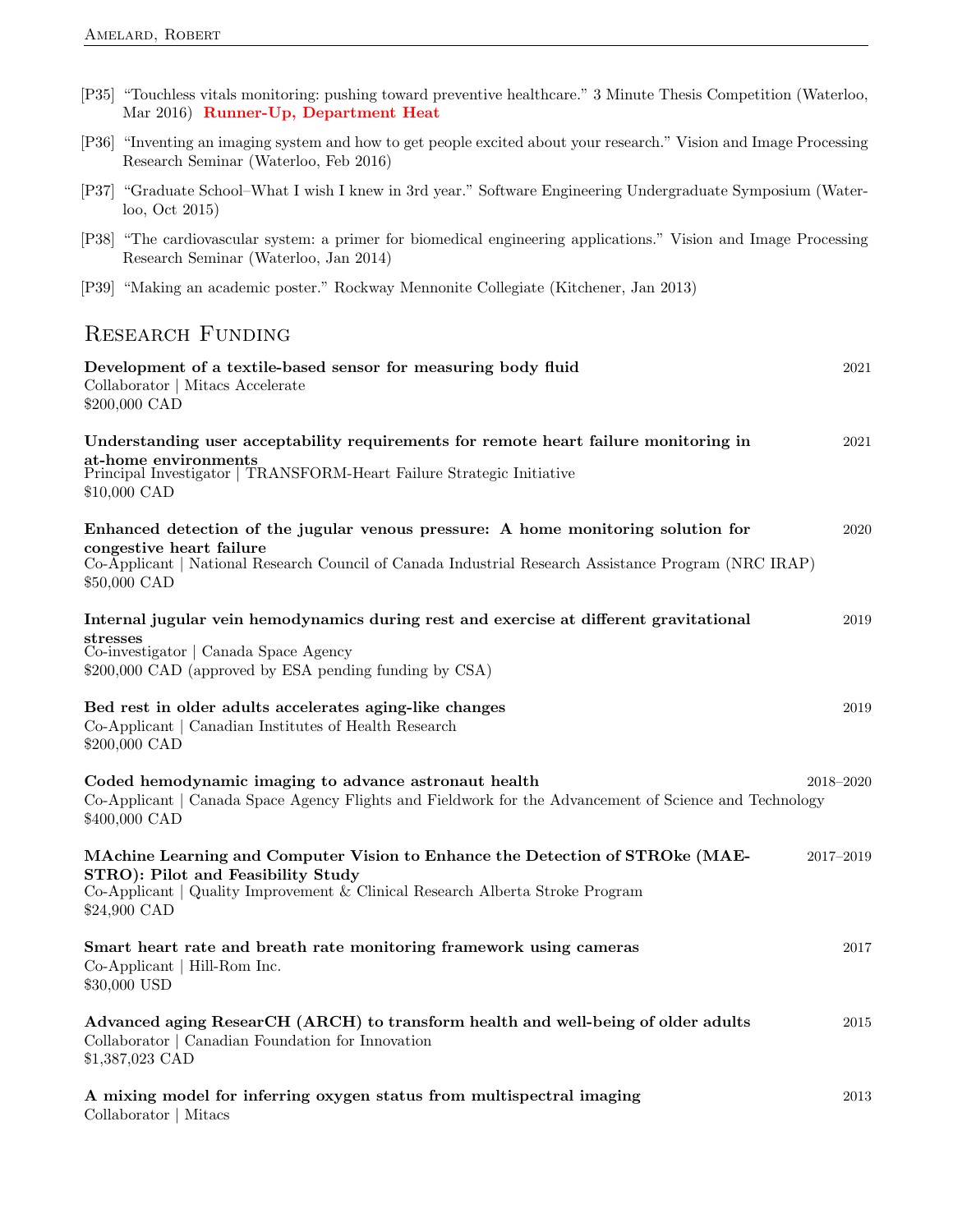| [P35] "Touchless vitals monitoring: pushing toward preventive healthcare." 3 Minute Thesis Competition (Waterloo,<br>Mar 2016) Runner-Up, Department Heat                                                                             |           |
|---------------------------------------------------------------------------------------------------------------------------------------------------------------------------------------------------------------------------------------|-----------|
| [P36] "Inventing an imaging system and how to get people excited about your research." Vision and Image Processing<br>Research Seminar (Waterloo, Feb 2016)                                                                           |           |
| [P37] "Graduate School-What I wish I knew in 3rd year." Software Engineering Undergraduate Symposium (Water-<br>$\log$ , Oct 2015)                                                                                                    |           |
| [P38] "The cardiovascular system: a primer for biomedical engineering applications." Vision and Image Processing<br>Research Seminar (Waterloo, Jan 2014)                                                                             |           |
| [P39] "Making an academic poster." Rockway Mennonite Collegiate (Kitchener, Jan 2013)                                                                                                                                                 |           |
| <b>RESEARCH FUNDING</b>                                                                                                                                                                                                               |           |
| Development of a textile-based sensor for measuring body fluid<br>Collaborator   Mitacs Accelerate<br>\$200,000 CAD                                                                                                                   | 2021      |
| Understanding user acceptability requirements for remote heart failure monitoring in<br>at-home environments<br>Principal Investigator   TRANSFORM-Heart Failure Strategic Initiative<br>\$10,000 CAD                                 | 2021      |
| Enhanced detection of the jugular venous pressure: A home monitoring solution for<br>congestive heart failure<br>Co-Applicant   National Research Council of Canada Industrial Research Assistance Program (NRC IRAP)<br>\$50,000 CAD | 2020      |
| Internal jugular vein hemodynamics during rest and exercise at different gravitational<br>stresses<br>Co-investigator   Canada Space Agency<br>\$200,000 CAD (approved by ESA pending funding by CSA)                                 | 2019      |
| Bed rest in older adults accelerates aging-like changes<br>Co-Applicant   Canadian Institutes of Health Research<br>\$200,000 CAD                                                                                                     | 2019      |
| Coded hemodynamic imaging to advance astronaut health<br>Co-Applicant   Canada Space Agency Flights and Fieldwork for the Advancement of Science and Technology<br>\$400,000 CAD                                                      | 2018-2020 |
| MAchine Learning and Computer Vision to Enhance the Detection of STROke (MAE-<br>STRO): Pilot and Feasibility Study<br>Co-Applicant   Quality Improvement & Clinical Research Alberta Stroke Program<br>\$24,900 CAD                  | 2017-2019 |
| Smart heart rate and breath rate monitoring framework using cameras<br>Co-Applicant   Hill-Rom Inc.<br>\$30,000 USD                                                                                                                   | 2017      |

### Advanced aging ResearCH (ARCH) to transform health and well-being of older adults 2015 Collaborator | Canadian Foundation for Innovation \$1,387,023 CAD

|                       | A mixing model for inferring oxygen status from multispectral imaging | 2013 |
|-----------------------|-----------------------------------------------------------------------|------|
| Collaborator   Mitacs |                                                                       |      |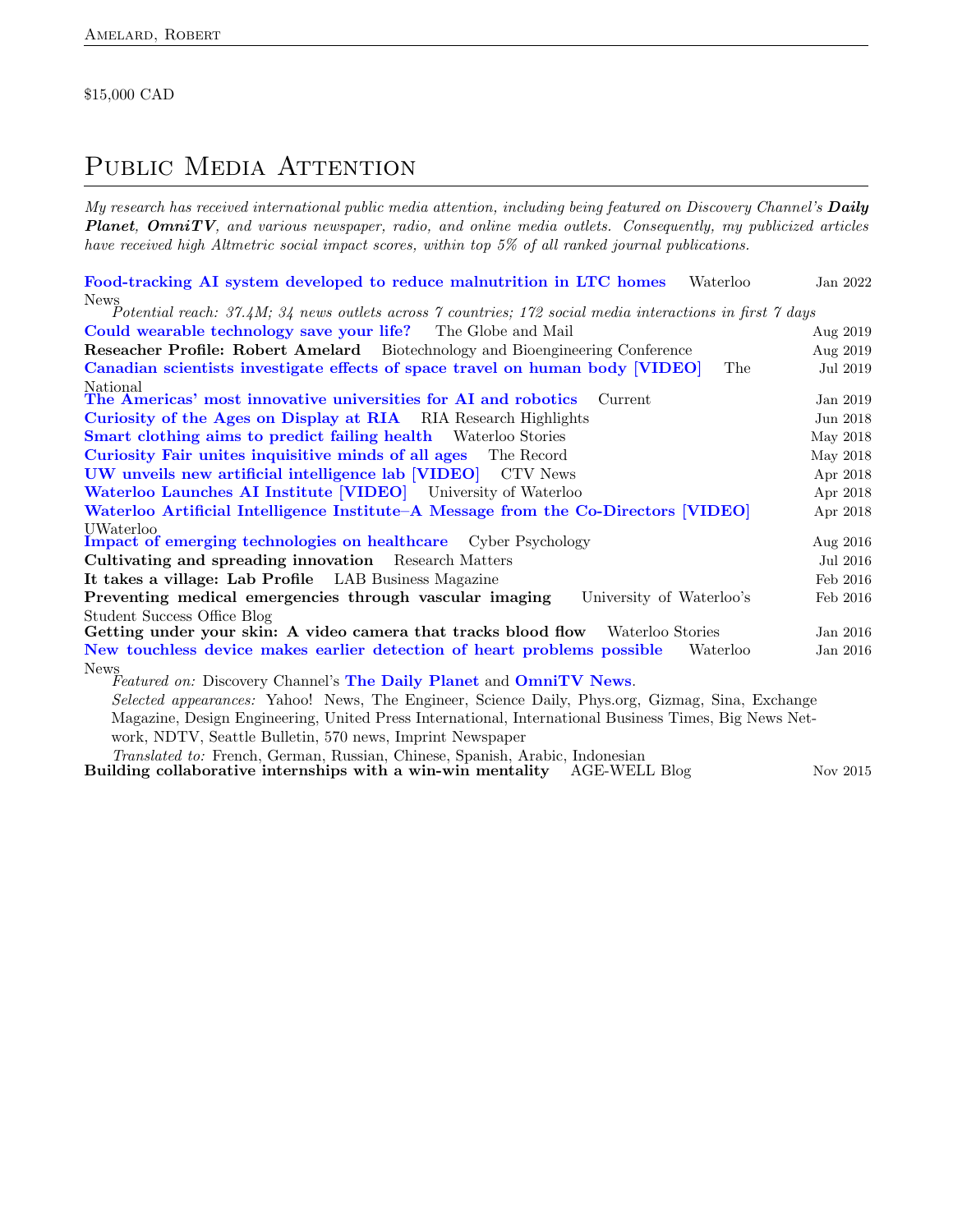#### \$15,000 CAD

# PUBLIC MEDIA ATTENTION

My research has received international public media attention, including being featured on Discovery Channel's Daily **Planet, OmniTV**, and various newspaper, radio, and online media outlets. Consequently, my publicized articles have received high Altmetric social impact scores, within top 5% of all ranked journal publications.

| Food-tracking AI system developed to reduce malnutrition in LTC homes<br>Waterloo                                  | Jan 2022   |
|--------------------------------------------------------------------------------------------------------------------|------------|
| <b>News</b>                                                                                                        |            |
| $\Delta$ Potential reach: 37.4M; 34 news outlets across 7 countries; 172 social media interactions in first 7 days |            |
| Could wearable technology save your life? The Globe and Mail                                                       | Aug $2019$ |
| <b>Reseacher Profile: Robert Amelard</b> Biotechnology and Bioengineering Conference                               | Aug $2019$ |
| Canadian scientists investigate effects of space travel on human body [VIDEO]<br>The                               | Jul 2019   |
| National<br>The Americas' most innovative universities for AI and robotics<br>Current                              | Jan 2019   |
| Curiosity of the Ages on Display at RIA RIA Research Highlights                                                    | Jun 2018   |
| <b>Smart clothing aims to predict failing health</b> Waterloo Stories                                              | May 2018   |
| Curiosity Fair unites inquisitive minds of all ages<br>The Record                                                  | May 2018   |
| UW unveils new artificial intelligence lab [VIDEO] CTV News                                                        | Apr 2018   |
| Waterloo Launches AI Institute [VIDEO] University of Waterloo                                                      | Apr 2018   |
| Waterloo Artificial Intelligence Institute–A Message from the Co-Directors [VIDEO]                                 | Apr 2018   |
| UWaterloo<br><b>Impact of emerging technologies on healthcare</b> Cyber Psychology                                 | Aug $2016$ |
| Cultivating and spreading innovation Research Matters                                                              | Jul 2016   |
| It takes a village: Lab Profile LAB Business Magazine                                                              | Feb 2016   |
| Preventing medical emergencies through vascular imaging<br>University of Waterloo's                                | Feb 2016   |
| Student Success Office Blog                                                                                        |            |
| Getting under your skin: A video camera that tracks blood flow Waterloo Stories                                    | Jan 2016   |
| New touchless device makes earlier detection of heart problems possible<br>Waterloo                                | Jan 2016   |
| <b>News</b><br>Featured on: Discovery Channel's The Daily Planet and OmniTV News.                                  |            |
| Selected appearances: Yahoo! News, The Engineer, Science Daily, Phys.org, Gizmag, Sina, Exchange                   |            |
| Magazine, Design Engineering, United Press International, International Business Times, Big News Net-              |            |
| work, NDTV, Seattle Bulletin, 570 news, Imprint Newspaper                                                          |            |
| Translated to: French, German, Russian, Chinese, Spanish, Arabic, Indonesian                                       |            |

 $\bf{Building~collaborative~internships~with~a~win-win~metality} \quad \rm{AGE-WELL~Blog} \quad \rm{Nov~2015}$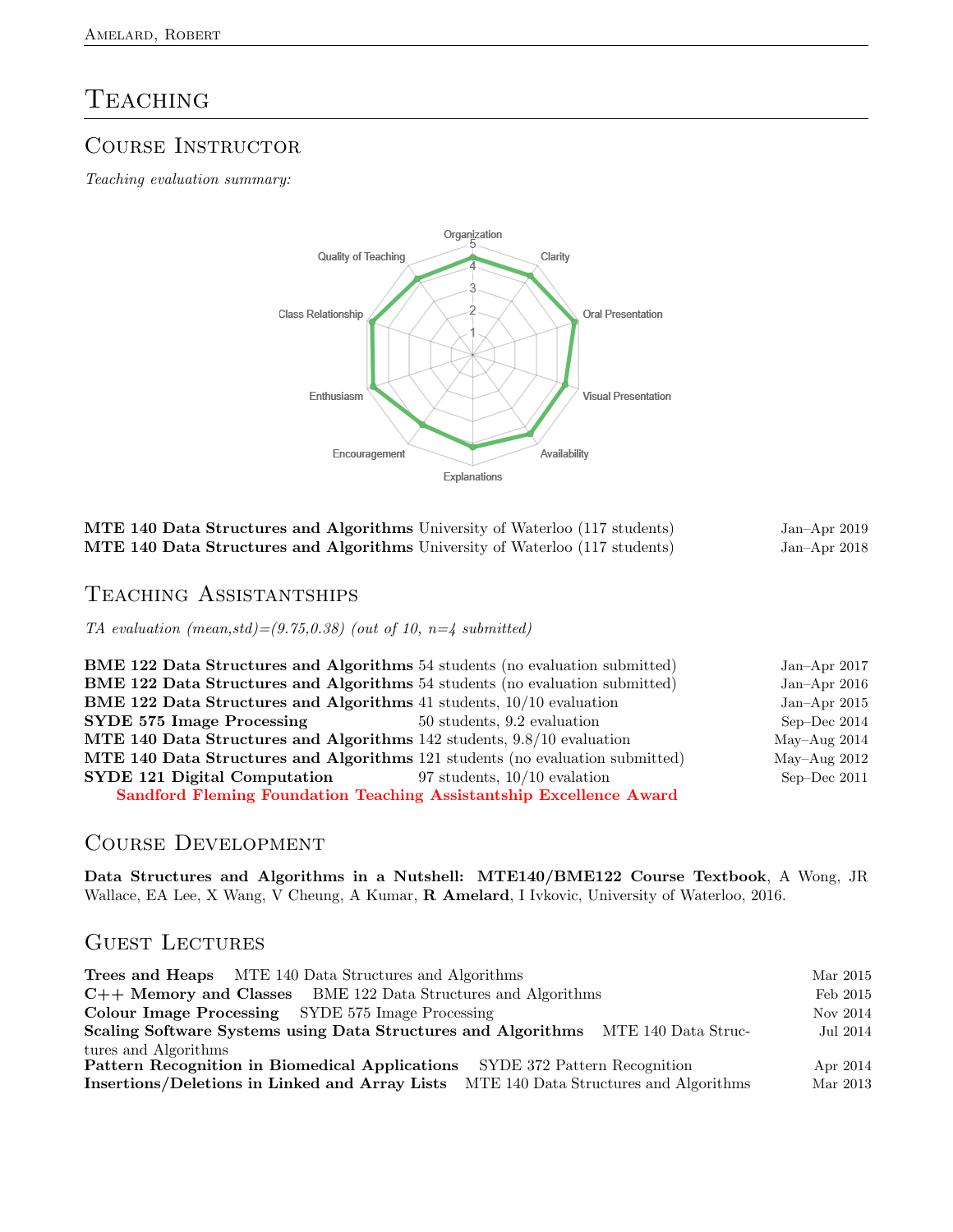# **TEACHING**

### COURSE INSTRUCTOR

Teaching evaluation summary:



Jan-Apr 2019 Jan–Apr 2018

| MTE 140 Data Structures and Algorithms University of Waterloo (117 students) |  |
|------------------------------------------------------------------------------|--|
| MTE 140 Data Structures and Algorithms University of Waterloo (117 students) |  |

### Teaching Assistantships

TA evaluation  $(mean, std) = (9.75, 0.38)$  (out of 10,  $n = 4$  submitted)

| <b>BME 122 Data Structures and Algorithms</b> 54 students (no evaluation submitted) |                             | Jan-Apr $2017$ |
|-------------------------------------------------------------------------------------|-----------------------------|----------------|
| <b>BME 122 Data Structures and Algorithms</b> 54 students (no evaluation submitted) |                             | Jan-Apr $2016$ |
| BME 122 Data Structures and Algorithms 41 students, 10/10 evaluation                |                             | Jan-Apr $2015$ |
| <b>SYDE 575 Image Processing</b>                                                    | 50 students, 9.2 evaluation | Sep-Dec $2014$ |
| MTE 140 Data Structures and Algorithms 142 students, 9.8/10 evaluation              |                             | May-Aug $2014$ |
| MTE 140 Data Structures and Algorithms 121 students (no evaluation submitted)       |                             | May-Aug $2012$ |
| <b>SYDE 121 Digital Computation</b> 97 students, $10/10$ evalation                  |                             | Sep-Dec $2011$ |
| <b>Sandford Fleming Foundation Teaching Assistantship Excellence Award</b>          |                             |                |

### Course Development

Data Structures and Algorithms in a Nutshell: MTE140/BME122 Course Textbook, A Wong, JR Wallace, EA Lee, X Wang, V Cheung, A Kumar, R Amelard, I Ivkovic, University of Waterloo, 2016.

### GUEST LECTURES

| <b>Trees and Heaps</b> MTE 140 Data Structures and Algorithms                            | Mar 2015 |
|------------------------------------------------------------------------------------------|----------|
| C++ Memory and Classes BME 122 Data Structures and Algorithms                            | Feb 2015 |
| <b>Colour Image Processing</b> SYDE 575 Image Processing                                 | Nov 2014 |
| Scaling Software Systems using Data Structures and Algorithms MTE 140 Data Struc-        | Jul 2014 |
| tures and Algorithms                                                                     |          |
| <b>Pattern Recognition in Biomedical Applications</b> SYDE 372 Pattern Recognition       | Apr 2014 |
| MTE 140 Data Structures and Algorithms<br>Insertions/Deletions in Linked and Array Lists | Mar 2013 |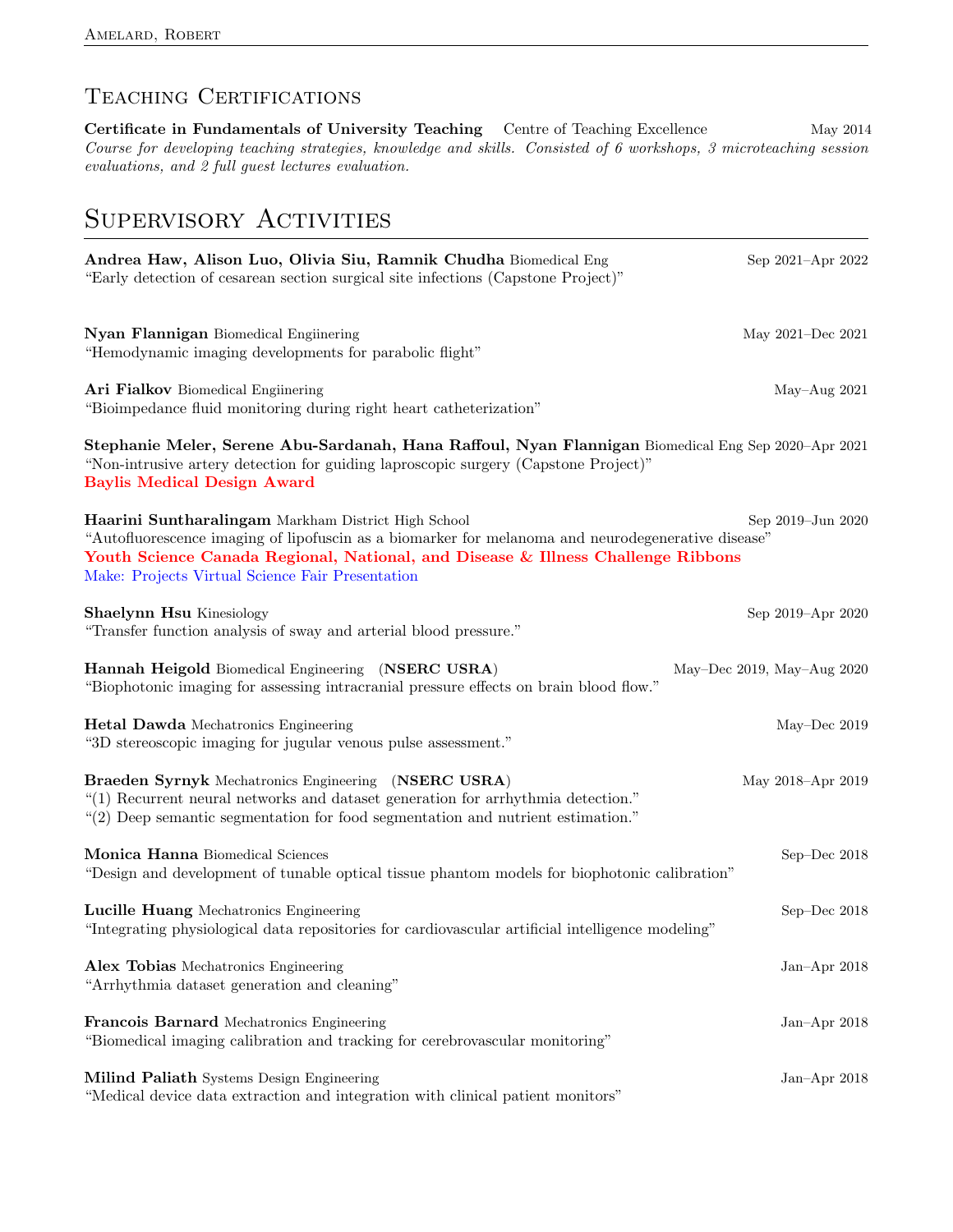# TEACHING CERTIFICATIONS

Certificate in Fundamentals of University Teaching Centre of Teaching Excellence May 2014 Course for developing teaching strategies, knowledge and skills. Consisted of 6 workshops, 3 microteaching session evaluations, and 2 full guest lectures evaluation.

# SUPERVISORY ACTIVITIES

| Andrea Haw, Alison Luo, Olivia Siu, Ramnik Chudha Biomedical Eng<br>"Early detection of cesarean section surgical site infections (Capstone Project)"                                                                                                                                             | Sep 2021-Apr 2022          |
|---------------------------------------------------------------------------------------------------------------------------------------------------------------------------------------------------------------------------------------------------------------------------------------------------|----------------------------|
| Nyan Flannigan Biomedical Enginering<br>"Hemodynamic imaging developments for parabolic flight"                                                                                                                                                                                                   | May 2021-Dec 2021          |
| Ari Fialkov Biomedical Enginering<br>"Bioimpedance fluid monitoring during right heart catheterization"                                                                                                                                                                                           | May-Aug 2021               |
| Stephanie Meler, Serene Abu-Sardanah, Hana Raffoul, Nyan Flannigan Biomedical Eng Sep 2020-Apr 2021<br>"Non-intrusive artery detection for guiding laproscopic surgery (Capstone Project)"<br><b>Baylis Medical Design Award</b>                                                                  |                            |
| Haarini Suntharalingam Markham District High School<br>"Autofluorescence imaging of lipofuscin as a biomarker for melanoma and neurodegenerative disease"<br>Youth Science Canada Regional, National, and Disease & Illness Challenge Ribbons<br>Make: Projects Virtual Science Fair Presentation | Sep 2019-Jun 2020          |
| Shaelynn Hsu Kinesiology<br>"Transfer function analysis of sway and arterial blood pressure."                                                                                                                                                                                                     | Sep 2019-Apr 2020          |
| Hannah Heigold Biomedical Engineering (NSERC USRA)<br>"Biophotonic imaging for assessing intracranial pressure effects on brain blood flow."                                                                                                                                                      | May-Dec 2019, May-Aug 2020 |
| <b>Hetal Dawda</b> Mechatronics Engineering<br>"3D stereoscopic imaging for jugular venous pulse assessment."                                                                                                                                                                                     | May-Dec 2019               |
| Braeden Syrnyk Mechatronics Engineering (NSERC USRA)<br>"(1) Recurrent neural networks and dataset generation for arrhythmia detection."<br>"(2) Deep semantic segmentation for food segmentation and nutrient estimation."                                                                       | May 2018-Apr 2019          |
| Monica Hanna Biomedical Sciences<br>"Design and development of tunable optical tissue phantom models for biophotonic calibration"                                                                                                                                                                 | Sep-Dec 2018               |
| Lucille Huang Mechatronics Engineering<br>"Integrating physiological data repositories for cardiovascular artificial intelligence modeling"                                                                                                                                                       | Sep-Dec 2018               |
| Alex Tobias Mechatronics Engineering<br>"Arrhythmia dataset generation and cleaning"                                                                                                                                                                                                              | Jan-Apr 2018               |
| Francois Barnard Mechatronics Engineering<br>"Biomedical imaging calibration and tracking for cerebrovascular monitoring"                                                                                                                                                                         | Jan-Apr $2018$             |
| Milind Paliath Systems Design Engineering<br>"Medical device data extraction and integration with clinical patient monitors"                                                                                                                                                                      | Jan-Apr 2018               |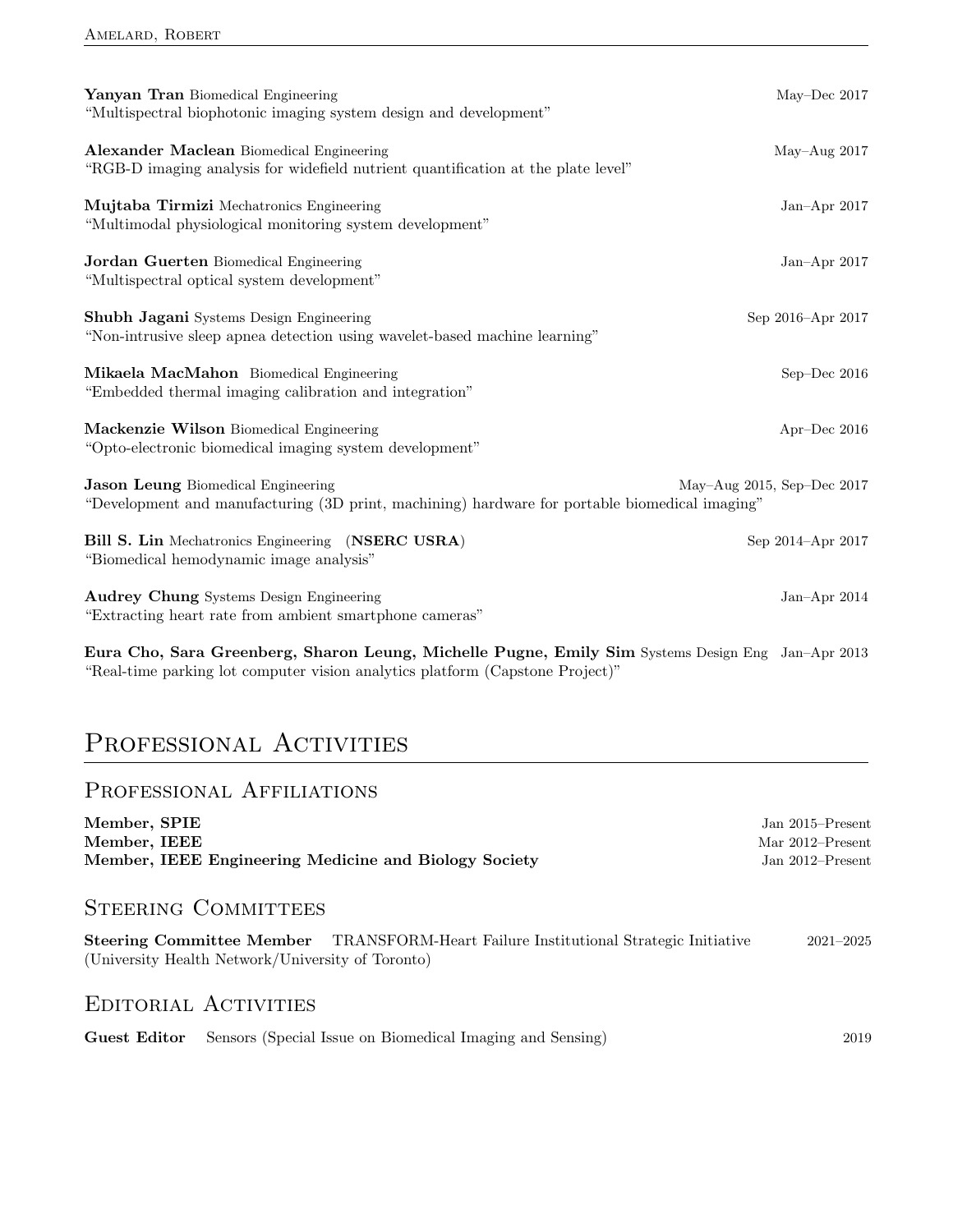| Yanyan Tran Biomedical Engineering<br>"Multispectral biophotonic imaging system design and development"                                     | May-Dec $2017$                  |
|---------------------------------------------------------------------------------------------------------------------------------------------|---------------------------------|
| Alexander Maclean Biomedical Engineering<br>"RGB-D imaging analysis for widefield nutrient quantification at the plate level"               | $May-Aug 2017$                  |
| Mujtaba Tirmizi Mechatronics Engineering<br>"Multimodal physiological monitoring system development"                                        | Jan-Apr $2017$                  |
| <b>Jordan Guerten</b> Biomedical Engineering<br>"Multispectral optical system development"                                                  | Jan-Apr $2017$                  |
| Shubh Jagani Systems Design Engineering<br>"Non-intrusive sleep apnea detection using wavelet-based machine learning"                       | Sep 2016-Apr 2017               |
| Mikaela MacMahon Biomedical Engineering<br>"Embedded thermal imaging calibration and integration"                                           | Sep-Dec $2016$                  |
| Mackenzie Wilson Biomedical Engineering<br>"Opto-electronic biomedical imaging system development"                                          | Apr-Dec $2016$                  |
| <b>Jason Leung Biomedical Engineering</b><br>"Development and manufacturing (3D print, machining) hardware for portable biomedical imaging" | May-Aug $2015$ , Sep-Dec $2017$ |
| Bill S. Lin Mechatronics Engineering (NSERC USRA)<br>"Biomedical hemodynamic image analysis"                                                | Sep 2014-Apr 2017               |
| <b>Audrey Chung</b> Systems Design Engineering<br>"Extracting heart rate from ambient smartphone cameras"                                   | Jan-Apr $2014$                  |

Eura Cho, Sara Greenberg, Sharon Leung, Michelle Pugne, Emily Sim Systems Design Eng Jan–Apr 2013 "Real-time parking lot computer vision analytics platform (Capstone Project)"

# PROFESSIONAL ACTIVITIES

### PROFESSIONAL AFFILIATIONS

| Member, SPIE                                                                                                                                     | Jan $2015$ –Present |
|--------------------------------------------------------------------------------------------------------------------------------------------------|---------------------|
| Member, IEEE                                                                                                                                     | Mar $2012$ –Present |
| Member, IEEE Engineering Medicine and Biology Society                                                                                            | Jan $2012$ –Present |
|                                                                                                                                                  |                     |
| <b>STEERING COMMITTEES</b>                                                                                                                       |                     |
| <b>Steering Committee Member</b> TRANSFORM-Heart Failure Institutional Strategic Initiative<br>(University Health Network/University of Toronto) | $2021 - 2025$       |
| <b>EDITORIAL ACTIVITIES</b>                                                                                                                      |                     |
| Sensors (Special Issue on Biomedical Imaging and Sensing)<br>Guest Editor                                                                        | 2019                |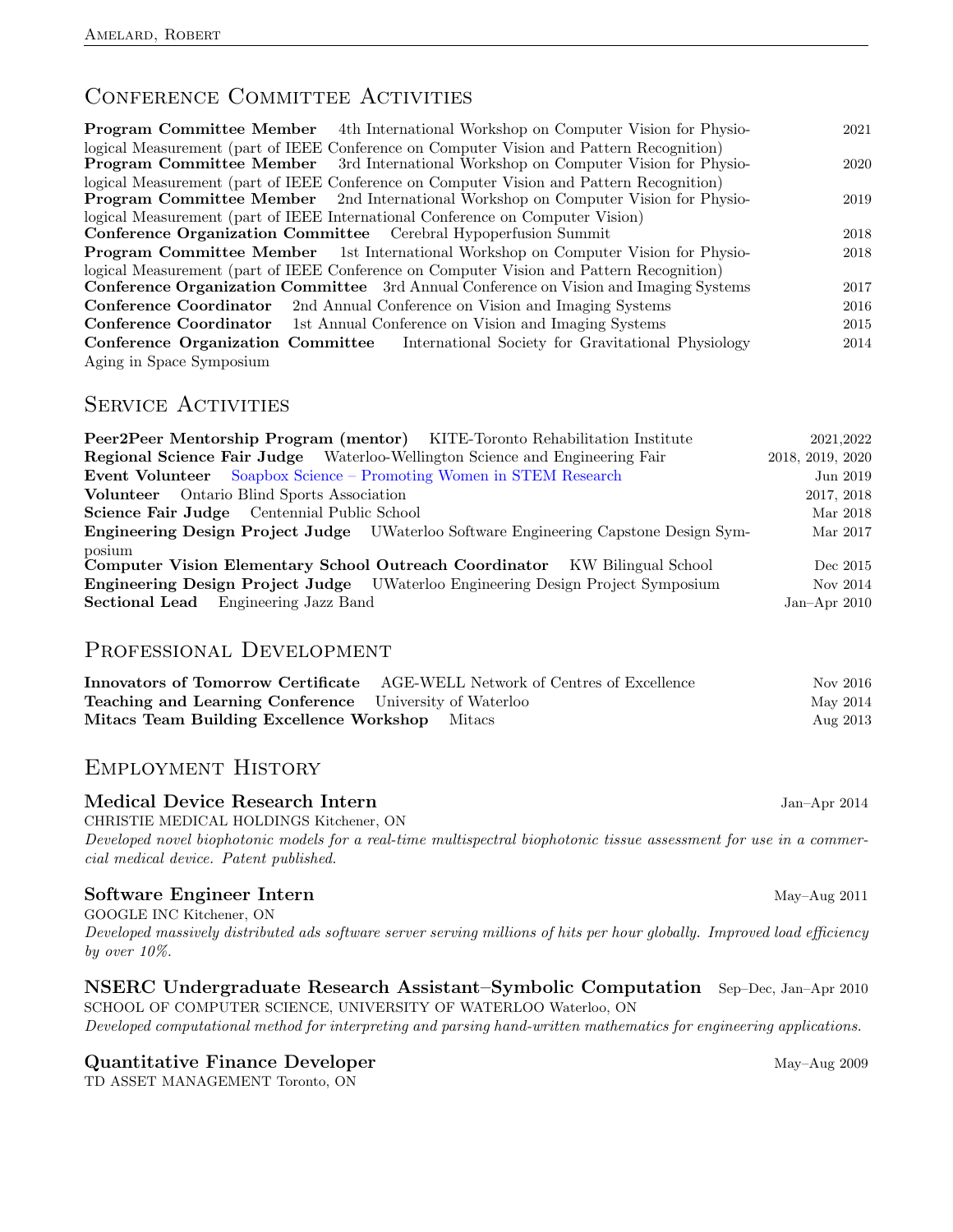### CONFERENCE COMMITTEE ACTIVITIES

| 4th International Workshop on Computer Vision for Physio-<br>Program Committee Member                                                                                                    | 2021 |
|------------------------------------------------------------------------------------------------------------------------------------------------------------------------------------------|------|
| logical Measurement (part of IEEE Conference on Computer Vision and Pattern Recognition)<br>3rd International Workshop on Computer Vision for Physio-<br><b>Program Committee Member</b> | 2020 |
| logical Measurement (part of IEEE Conference on Computer Vision and Pattern Recognition)<br><b>Program Committee Member</b> 2nd International Workshop on Computer Vision for Physio-    | 2019 |
| logical Measurement (part of IEEE International Conference on Computer Vision)                                                                                                           |      |
| <b>Conference Organization Committee</b> Cerebral Hypoperfusion Summit                                                                                                                   | 2018 |
| <b>Program Committee Member</b> 1st International Workshop on Computer Vision for Physio-                                                                                                | 2018 |
| logical Measurement (part of IEEE Conference on Computer Vision and Pattern Recognition)                                                                                                 |      |
| <b>Conference Organization Committee</b> 3rd Annual Conference on Vision and Imaging Systems                                                                                             | 2017 |
| <b>Conference Coordinator</b> 2nd Annual Conference on Vision and Imaging Systems                                                                                                        | 2016 |
| <b>Conference Coordinator</b> 1st Annual Conference on Vision and Imaging Systems                                                                                                        | 2015 |
| <b>Conference Organization Committee</b> International Society for Gravitational Physiology                                                                                              | 2014 |
| Aging in Space Symposium                                                                                                                                                                 |      |

### SERVICE ACTIVITIES

| Peer2Peer Mentorship Program (mentor) KITE-Toronto Rehabilitation Institute                 | 2021,2022        |
|---------------------------------------------------------------------------------------------|------------------|
| <b>Regional Science Fair Judge</b> Waterloo-Wellington Science and Engineering Fair         | 2018, 2019, 2020 |
| <b>Event Volunteer</b> Soapbox Science – Promoting Women in STEM Research                   | Jun 2019         |
| Volunteer Ontario Blind Sports Association                                                  | 2017, 2018       |
| <b>Science Fair Judge</b> Centennial Public School                                          | Mar 2018         |
| <b>Engineering Design Project Judge</b> UWaterloo Software Engineering Capstone Design Sym- | Mar 2017         |
| posium<br>Computer Vision Elementary School Outreach Coordinator KW Bilingual School        | Dec 2015         |
| <b>Engineering Design Project Judge</b> UWaterloo Engineering Design Project Symposium      | Nov 2014         |
| <b>Sectional Lead</b> Engineering Jazz Band                                                 | Jan-Apr $2010$   |

### PROFESSIONAL DEVELOPMENT

|                                                                | <b>Innovators of Tomorrow Certificate</b> AGE-WELL Network of Centres of Excellence | Nov 2016 |
|----------------------------------------------------------------|-------------------------------------------------------------------------------------|----------|
| <b>Teaching and Learning Conference</b> University of Waterloo |                                                                                     | May 2014 |
| Mitacs Team Building Excellence Workshop Mitacs                |                                                                                     | Aug 2013 |

### Employment History

#### Medical Device Research Intern Jan–Apr 2014

CHRISTIE MEDICAL HOLDINGS Kitchener, ON

Developed novel biophotonic models for a real-time multispectral biophotonic tissue assessment for use in a commercial medical device. Patent published.

#### Software Engineer Intern May–Aug 2011

GOOGLE INC Kitchener, ON Developed massively distributed ads software server serving millions of hits per hour globally. Improved load efficiency by over 10%.

### NSERC Undergraduate Research Assistant–Symbolic Computation Sep–Dec, Jan–Apr 2010

SCHOOL OF COMPUTER SCIENCE, UNIVERSITY OF WATERLOO Waterloo, ON Developed computational method for interpreting and parsing hand-written mathematics for engineering applications.

#### Quantitative Finance Developer May–Aug 2009

TD ASSET MANAGEMENT Toronto, ON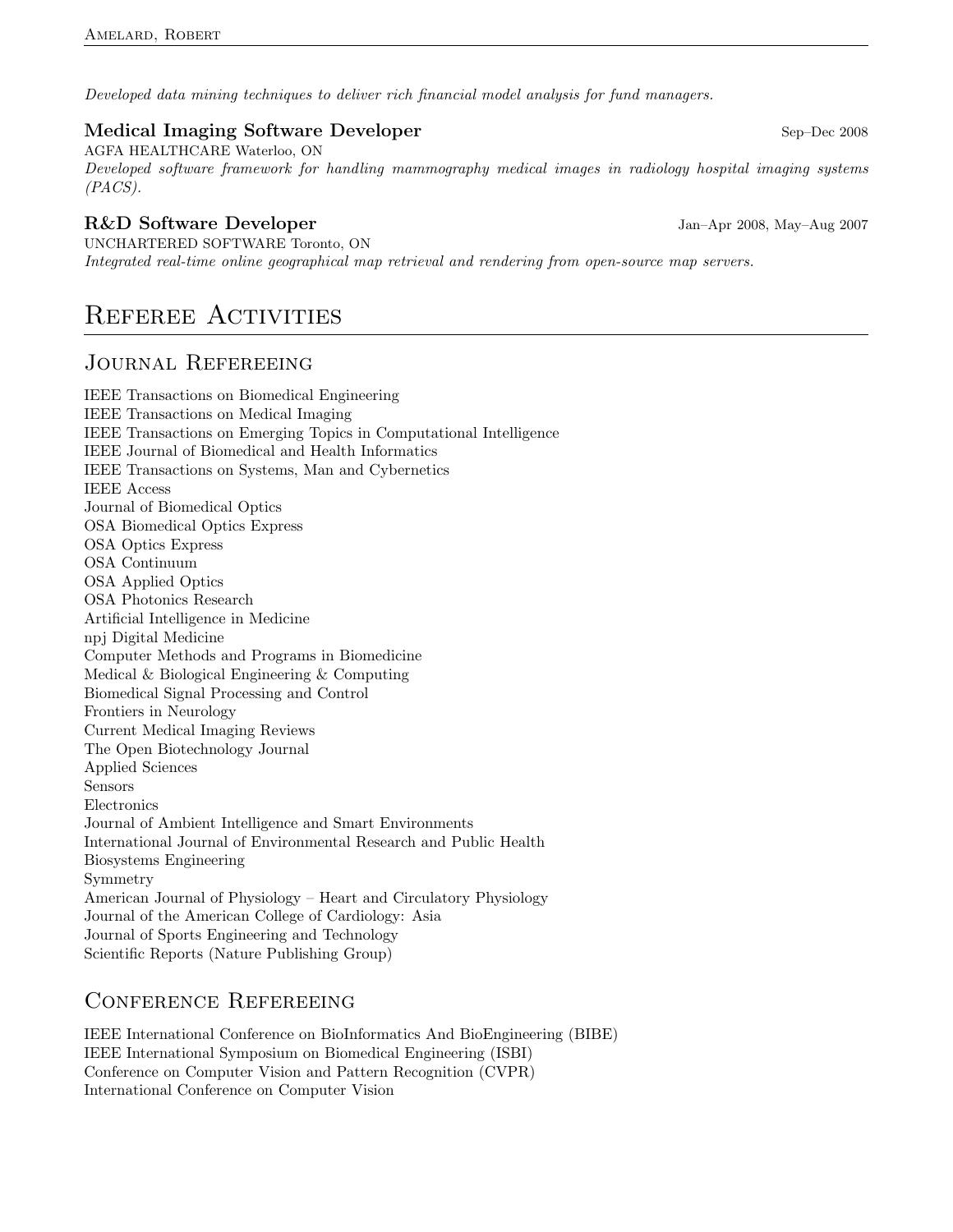Developed data mining techniques to deliver rich financial model analysis for fund managers.

#### Medical Imaging Software Developer Sep–Dec 2008

AGFA HEALTHCARE Waterloo, ON Developed software framework for handling mammography medical images in radiology hospital imaging systems  $(PACS)$ .

#### R&D Software Developer Jan–Apr 2008, May–Aug 2007

UNCHARTERED SOFTWARE Toronto, ON Integrated real-time online geographical map retrieval and rendering from open-source map servers.

# REFEREE ACTIVITIES

### JOURNAL REFEREEING

IEEE Transactions on Biomedical Engineering IEEE Transactions on Medical Imaging IEEE Transactions on Emerging Topics in Computational Intelligence IEEE Journal of Biomedical and Health Informatics IEEE Transactions on Systems, Man and Cybernetics IEEE Access Journal of Biomedical Optics OSA Biomedical Optics Express OSA Optics Express OSA Continuum OSA Applied Optics OSA Photonics Research Artificial Intelligence in Medicine npj Digital Medicine Computer Methods and Programs in Biomedicine Medical & Biological Engineering & Computing Biomedical Signal Processing and Control Frontiers in Neurology Current Medical Imaging Reviews The Open Biotechnology Journal Applied Sciences Sensors Electronics Journal of Ambient Intelligence and Smart Environments International Journal of Environmental Research and Public Health Biosystems Engineering Symmetry American Journal of Physiology – Heart and Circulatory Physiology Journal of the American College of Cardiology: Asia Journal of Sports Engineering and Technology Scientific Reports (Nature Publishing Group)

### Conference Refereeing

IEEE International Conference on BioInformatics And BioEngineering (BIBE) IEEE International Symposium on Biomedical Engineering (ISBI) Conference on Computer Vision and Pattern Recognition (CVPR) International Conference on Computer Vision